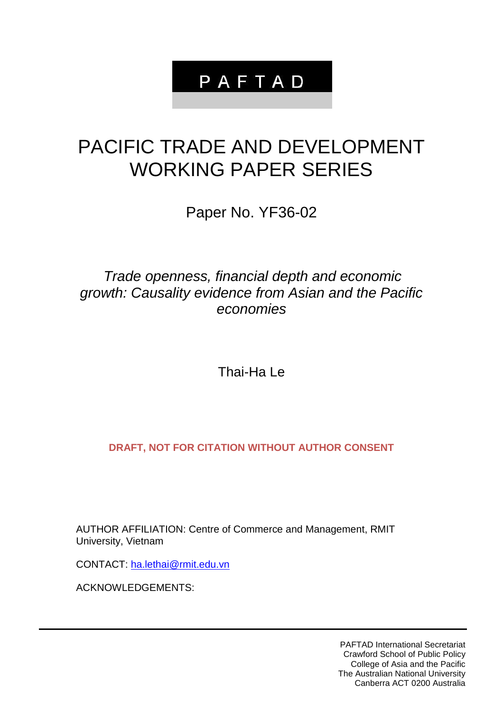## PAFTAD

## PACIFIC TRADE AND DEVELOPMENT WORKING PAPER SERIES

Paper No. YF36-02

## *Trade openness, financial depth and economic growth: Causality evidence from Asian and the Pacific economies*

Thai-Ha Le

**DRAFT, NOT FOR CITATION WITHOUT AUTHOR CONSENT**

AUTHOR AFFILIATION: Centre of Commerce and Management, RMIT University, Vietnam

CONTACT: [ha.lethai@rmit.edu.vn](mailto:ha.lethai@rmit.edu.vn)

ACKNOWLEDGEMENTS:

PAFTAD International Secretariat Crawford School of Public Policy College of Asia and the Pacific The Australian National University Canberra ACT 0200 Australia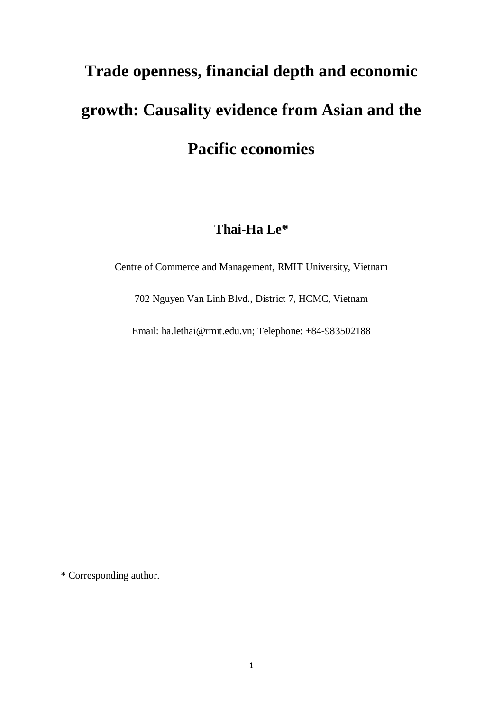# **Trade openness, financial depth and economic growth: Causality evidence from Asian and the Pacific economies**

## **Thai-Ha Le\***

Centre of Commerce and Management, RMIT University, Vietnam

702 Nguyen Van Linh Blvd., District 7, HCMC, Vietnam

Email: ha.lethai@rmit.edu.vn; Telephone: +84-983502188

\* Corresponding author.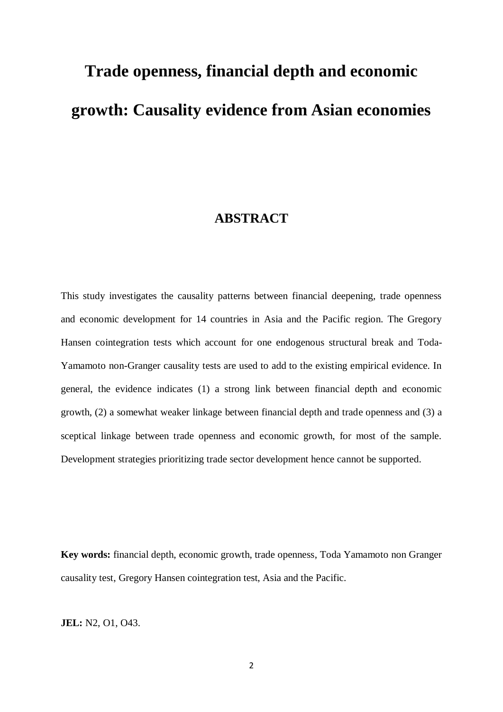# **Trade openness, financial depth and economic growth: Causality evidence from Asian economies**

### **ABSTRACT**

This study investigates the causality patterns between financial deepening, trade openness and economic development for 14 countries in Asia and the Pacific region. The Gregory Hansen cointegration tests which account for one endogenous structural break and Toda-Yamamoto non-Granger causality tests are used to add to the existing empirical evidence. In general, the evidence indicates (1) a strong link between financial depth and economic growth, (2) a somewhat weaker linkage between financial depth and trade openness and (3) a sceptical linkage between trade openness and economic growth, for most of the sample. Development strategies prioritizing trade sector development hence cannot be supported.

**Key words:** financial depth, economic growth, trade openness, Toda Yamamoto non Granger causality test, Gregory Hansen cointegration test, Asia and the Pacific.

**JEL:** N2, O1, O43.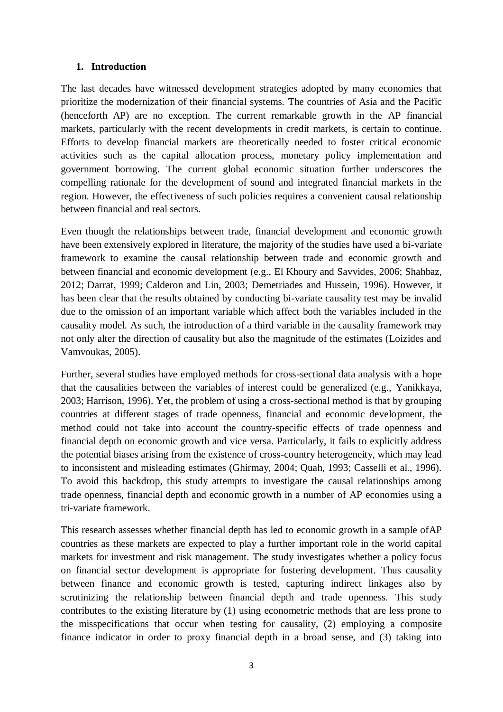#### **1. Introduction**

The last decades have witnessed development strategies adopted by many economies that prioritize the modernization of their financial systems. The countries of Asia and the Pacific (henceforth AP) are no exception. The current remarkable growth in the AP financial markets, particularly with the recent developments in credit markets, is certain to continue. Efforts to develop financial markets are theoretically needed to foster critical economic activities such as the capital allocation process, monetary policy implementation and government borrowing. The current global economic situation further underscores the compelling rationale for the development of sound and integrated financial markets in the region. However, the effectiveness of such policies requires a convenient causal relationship between financial and real sectors.

Even though the relationships between trade, financial development and economic growth have been extensively explored in literature, the majority of the studies have used a bi-variate framework to examine the causal relationship between trade and economic growth and between financial and economic development (e.g., El Khoury and Savvides, 2006; Shahbaz, 2012; Darrat, 1999; Calderon and Lin, 2003; Demetriades and Hussein, 1996). However, it has been clear that the results obtained by conducting bi-variate causality test may be invalid due to the omission of an important variable which affect both the variables included in the causality model. As such, the introduction of a third variable in the causality framework may not only alter the direction of causality but also the magnitude of the estimates (Loizides and Vamvoukas, 2005).

Further, several studies have employed methods for cross-sectional data analysis with a hope that the causalities between the variables of interest could be generalized (e.g., Yanikkaya, 2003; Harrison, 1996). Yet, the problem of using a cross-sectional method is that by grouping countries at different stages of trade openness, financial and economic development, the method could not take into account the country-specific effects of trade openness and financial depth on economic growth and vice versa. Particularly, it fails to explicitly address the potential biases arising from the existence of cross-country heterogeneity, which may lead to inconsistent and misleading estimates (Ghirmay, 2004; Quah, 1993; Casselli et al., 1996). To avoid this backdrop, this study attempts to investigate the causal relationships among trade openness, financial depth and economic growth in a number of AP economies using a tri-variate framework.

This research assesses whether financial depth has led to economic growth in a sample ofAP countries as these markets are expected to play a further important role in the world capital markets for investment and risk management. The study investigates whether a policy focus on financial sector development is appropriate for fostering development. Thus causality between finance and economic growth is tested, capturing indirect linkages also by scrutinizing the relationship between financial depth and trade openness. This study contributes to the existing literature by (1) using econometric methods that are less prone to the misspecifications that occur when testing for causality, (2) employing a composite finance indicator in order to proxy financial depth in a broad sense, and (3) taking into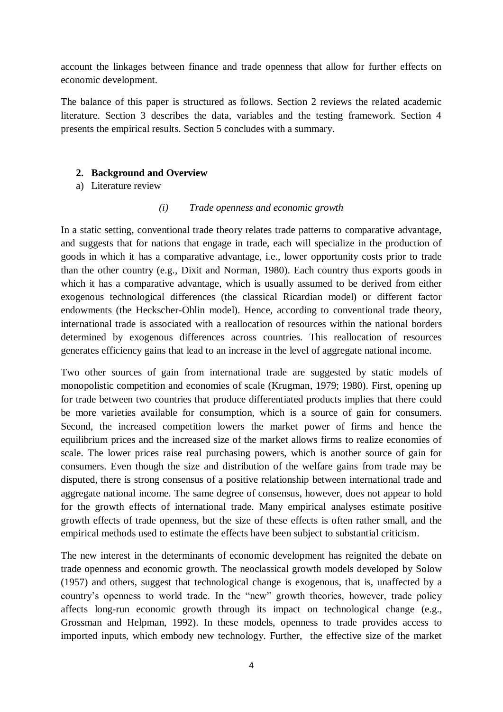account the linkages between finance and trade openness that allow for further effects on economic development.

The balance of this paper is structured as follows. Section 2 reviews the related academic literature. Section 3 describes the data, variables and the testing framework. Section 4 presents the empirical results. Section 5 concludes with a summary.

#### **2. Background and Overview**

a) Literature review

#### *(i) Trade openness and economic growth*

In a static setting, conventional trade theory relates trade patterns to comparative advantage, and suggests that for nations that engage in trade, each will specialize in the production of goods in which it has a comparative advantage, i.e., lower opportunity costs prior to trade than the other country (e.g., Dixit and Norman, 1980). Each country thus exports goods in which it has a comparative advantage, which is usually assumed to be derived from either exogenous technological differences (the classical Ricardian model) or different factor endowments (the Heckscher-Ohlin model). Hence, according to conventional trade theory, international trade is associated with a reallocation of resources within the national borders determined by exogenous differences across countries. This reallocation of resources generates efficiency gains that lead to an increase in the level of aggregate national income.

Two other sources of gain from international trade are suggested by static models of monopolistic competition and economies of scale (Krugman, 1979; 1980). First, opening up for trade between two countries that produce differentiated products implies that there could be more varieties available for consumption, which is a source of gain for consumers. Second, the increased competition lowers the market power of firms and hence the equilibrium prices and the increased size of the market allows firms to realize economies of scale. The lower prices raise real purchasing powers, which is another source of gain for consumers. Even though the size and distribution of the welfare gains from trade may be disputed, there is strong consensus of a positive relationship between international trade and aggregate national income. The same degree of consensus, however, does not appear to hold for the growth effects of international trade. Many empirical analyses estimate positive growth effects of trade openness, but the size of these effects is often rather small, and the empirical methods used to estimate the effects have been subject to substantial criticism.

The new interest in the determinants of economic development has reignited the debate on trade openness and economic growth. The neoclassical growth models developed by Solow (1957) and others, suggest that technological change is exogenous, that is, unaffected by a country's openness to world trade. In the "new" growth theories, however, trade policy affects long-run economic growth through its impact on technological change (e.g., Grossman and Helpman, 1992). In these models, openness to trade provides access to imported inputs, which embody new technology. Further, the effective size of the market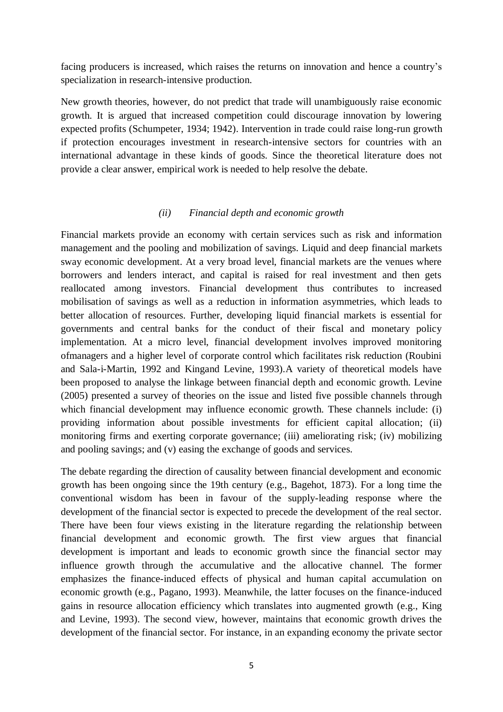facing producers is increased, which raises the returns on innovation and hence a country's specialization in research-intensive production.

New growth theories, however, do not predict that trade will unambiguously raise economic growth. It is argued that increased competition could discourage innovation by lowering expected profits (Schumpeter, 1934; 1942). Intervention in trade could raise long-run growth if protection encourages investment in research-intensive sectors for countries with an international advantage in these kinds of goods. Since the theoretical literature does not provide a clear answer, empirical work is needed to help resolve the debate.

#### *(ii) Financial depth and economic growth*

Financial markets provide an economy with certain services such as risk and information management and the pooling and mobilization of savings. Liquid and deep financial markets sway economic development. At a very broad level, financial markets are the venues where borrowers and lenders interact, and capital is raised for real investment and then gets reallocated among investors. Financial development thus contributes to increased mobilisation of savings as well as a reduction in information asymmetries, which leads to better allocation of resources. Further, developing liquid financial markets is essential for governments and central banks for the conduct of their fiscal and monetary policy implementation. At a micro level, financial development involves improved monitoring ofmanagers and a higher level of corporate control which facilitates risk reduction (Roubini and Sala-i-Martin, 1992 and Kingand Levine, 1993).A variety of theoretical models have been proposed to analyse the linkage between financial depth and economic growth. Levine (2005) presented a survey of theories on the issue and listed five possible channels through which financial development may influence economic growth. These channels include: (i) providing information about possible investments for efficient capital allocation; (ii) monitoring firms and exerting corporate governance; (iii) ameliorating risk; (iv) mobilizing and pooling savings; and (v) easing the exchange of goods and services.

The debate regarding the direction of causality between financial development and economic growth has been ongoing since the 19th century (e.g., Bagehot, 1873). For a long time the conventional wisdom has been in favour of the supply-leading response where the development of the financial sector is expected to precede the development of the real sector. There have been four views existing in the literature regarding the relationship between financial development and economic growth. The first view argues that financial development is important and leads to economic growth since the financial sector may influence growth through the accumulative and the allocative channel. The former emphasizes the finance-induced effects of physical and human capital accumulation on economic growth (e.g., Pagano, 1993). Meanwhile, the latter focuses on the finance-induced gains in resource allocation efficiency which translates into augmented growth (e.g., King and Levine, 1993). The second view, however, maintains that economic growth drives the development of the financial sector. For instance, in an expanding economy the private sector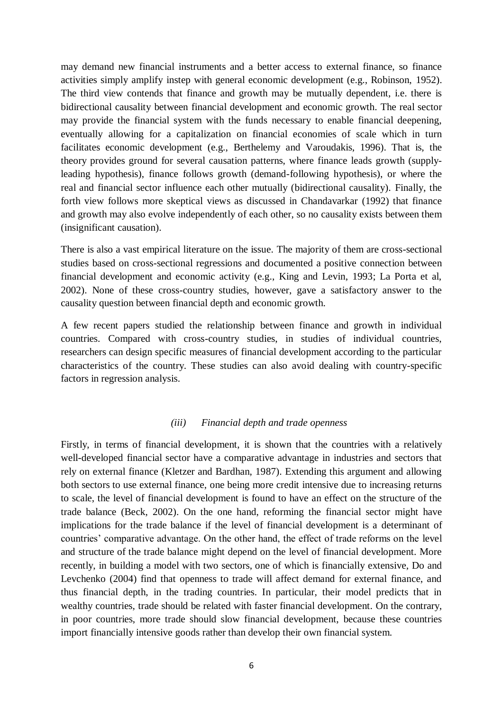may demand new financial instruments and a better access to external finance, so finance activities simply amplify instep with general economic development (e.g., Robinson, 1952). The third view contends that finance and growth may be mutually dependent, i.e. there is bidirectional causality between financial development and economic growth. The real sector may provide the financial system with the funds necessary to enable financial deepening, eventually allowing for a capitalization on financial economies of scale which in turn facilitates economic development (e.g., Berthelemy and Varoudakis, 1996). That is, the theory provides ground for several causation patterns, where finance leads growth (supplyleading hypothesis), finance follows growth (demand-following hypothesis), or where the real and financial sector influence each other mutually (bidirectional causality). Finally, the forth view follows more skeptical views as discussed in Chandavarkar (1992) that finance and growth may also evolve independently of each other, so no causality exists between them (insignificant causation).

There is also a vast empirical literature on the issue. The majority of them are cross-sectional studies based on cross-sectional regressions and documented a positive connection between financial development and economic activity (e.g., King and Levin, 1993; La Porta et al, 2002). None of these cross-country studies, however, gave a satisfactory answer to the causality question between financial depth and economic growth.

A few recent papers studied the relationship between finance and growth in individual countries. Compared with cross-country studies, in studies of individual countries, researchers can design specific measures of financial development according to the particular characteristics of the country. These studies can also avoid dealing with country-specific factors in regression analysis.

#### *(iii) Financial depth and trade openness*

Firstly, in terms of financial development, it is shown that the countries with a relatively well-developed financial sector have a comparative advantage in industries and sectors that rely on external finance (Kletzer and Bardhan, 1987). Extending this argument and allowing both sectors to use external finance, one being more credit intensive due to increasing returns to scale, the level of financial development is found to have an effect on the structure of the trade balance (Beck, 2002). On the one hand, reforming the financial sector might have implications for the trade balance if the level of financial development is a determinant of countries' comparative advantage. On the other hand, the effect of trade reforms on the level and structure of the trade balance might depend on the level of financial development. More recently, in building a model with two sectors, one of which is financially extensive, Do and Levchenko (2004) find that openness to trade will affect demand for external finance, and thus financial depth, in the trading countries. In particular, their model predicts that in wealthy countries, trade should be related with faster financial development. On the contrary, in poor countries, more trade should slow financial development, because these countries import financially intensive goods rather than develop their own financial system.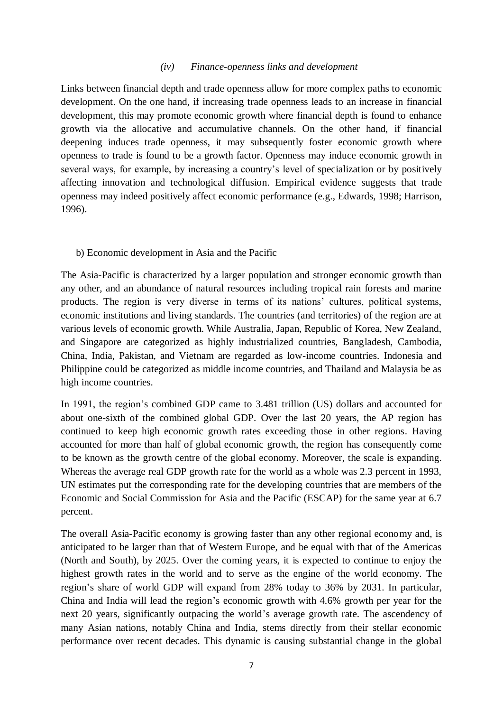#### *(iv) Finance-openness links and development*

Links between financial depth and trade openness allow for more complex paths to economic development. On the one hand, if increasing trade openness leads to an increase in financial development, this may promote economic growth where financial depth is found to enhance growth via the allocative and accumulative channels. On the other hand, if financial deepening induces trade openness, it may subsequently foster economic growth where openness to trade is found to be a growth factor. Openness may induce economic growth in several ways, for example, by increasing a country's level of specialization or by positively affecting innovation and technological diffusion. Empirical evidence suggests that trade openness may indeed positively affect economic performance (e.g., Edwards, 1998; Harrison, 1996).

#### b) Economic development in Asia and the Pacific

The Asia-Pacific is characterized by a larger population and stronger economic growth than any other, and an abundance of natural resources including tropical rain forests and marine products. The region is very diverse in terms of its nations' cultures, political systems, economic institutions and living standards. The countries (and territories) of the region are at various levels of economic growth. While Australia, Japan, Republic of Korea, New Zealand, and Singapore are categorized as highly industrialized countries, Bangladesh, Cambodia, China, India, Pakistan, and Vietnam are regarded as low-income countries. Indonesia and Philippine could be categorized as middle income countries, and Thailand and Malaysia be as high income countries.

In 1991, the region's combined GDP came to 3.481 trillion (US) dollars and accounted for about one-sixth of the combined global GDP. Over the last 20 years, the AP region has continued to keep high economic growth rates exceeding those in other regions. Having accounted for more than half of global economic growth, the region has consequently come to be known as the growth centre of the global economy. Moreover, the scale is expanding. Whereas the average real GDP growth rate for the world as a whole was 2.3 percent in 1993, UN estimates put the corresponding rate for the developing countries that are members of the Economic and Social Commission for Asia and the Pacific (ESCAP) for the same year at 6.7 percent.

The overall Asia-Pacific economy is growing faster than any other regional economy and, is anticipated to be larger than that of Western Europe, and be equal with that of the Americas (North and South), by 2025. Over the coming years, it is expected to continue to enjoy the highest growth rates in the world and to serve as the engine of the world economy. The region's share of world GDP will expand from 28% today to 36% by 2031. In particular, China and India will lead the region's economic growth with 4.6% growth per year for the next 20 years, significantly outpacing the world's average growth rate. The ascendency of many Asian nations, notably China and India, stems directly from their stellar economic performance over recent decades. This dynamic is causing substantial change in the global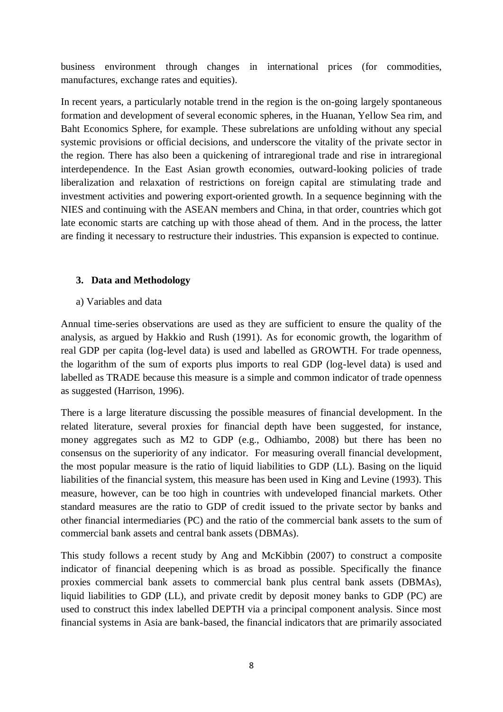business environment through changes in international prices (for commodities, manufactures, exchange rates and equities).

In recent years, a particularly notable trend in the region is the on-going largely spontaneous formation and development of several economic spheres, in the Huanan, Yellow Sea rim, and Baht Economics Sphere, for example. These subrelations are unfolding without any special systemic provisions or official decisions, and underscore the vitality of the private sector in the region. There has also been a quickening of intraregional trade and rise in intraregional interdependence. In the East Asian growth economies, outward-looking policies of trade liberalization and relaxation of restrictions on foreign capital are stimulating trade and investment activities and powering export-oriented growth. In a sequence beginning with the NIES and continuing with the ASEAN members and China, in that order, countries which got late economic starts are catching up with those ahead of them. And in the process, the latter are finding it necessary to restructure their industries. This expansion is expected to continue.

#### **3. Data and Methodology**

a) Variables and data

Annual time-series observations are used as they are sufficient to ensure the quality of the analysis, as argued by Hakkio and Rush (1991). As for economic growth, the logarithm of real GDP per capita (log-level data) is used and labelled as GROWTH. For trade openness, the logarithm of the sum of exports plus imports to real GDP (log-level data) is used and labelled as TRADE because this measure is a simple and common indicator of trade openness as suggested (Harrison, 1996).

There is a large literature discussing the possible measures of financial development. In the related literature, several proxies for financial depth have been suggested, for instance, money aggregates such as M2 to GDP (e.g., Odhiambo, 2008) but there has been no consensus on the superiority of any indicator. For measuring overall financial development, the most popular measure is the ratio of liquid liabilities to GDP (LL). Basing on the liquid liabilities of the financial system, this measure has been used in King and Levine (1993). This measure, however, can be too high in countries with undeveloped financial markets. Other standard measures are the ratio to GDP of credit issued to the private sector by banks and other financial intermediaries (PC) and the ratio of the commercial bank assets to the sum of commercial bank assets and central bank assets (DBMAs).

This study follows a recent study by Ang and McKibbin (2007) to construct a composite indicator of financial deepening which is as broad as possible. Specifically the finance proxies commercial bank assets to commercial bank plus central bank assets (DBMAs), liquid liabilities to GDP (LL), and private credit by deposit money banks to GDP (PC) are used to construct this index labelled DEPTH via a principal component analysis. Since most financial systems in Asia are bank-based, the financial indicators that are primarily associated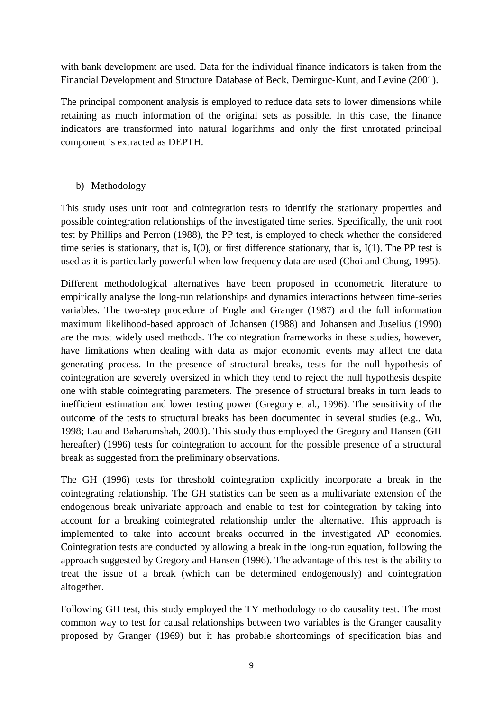with bank development are used. Data for the individual finance indicators is taken from the Financial Development and Structure Database of Beck, Demirguc-Kunt, and Levine (2001).

The principal component analysis is employed to reduce data sets to lower dimensions while retaining as much information of the original sets as possible. In this case, the finance indicators are transformed into natural logarithms and only the first unrotated principal component is extracted as DEPTH.

#### b) Methodology

This study uses unit root and cointegration tests to identify the stationary properties and possible cointegration relationships of the investigated time series. Specifically, the unit root test by Phillips and Perron (1988), the PP test, is employed to check whether the considered time series is stationary, that is, I(0), or first difference stationary, that is, I(1). The PP test is used as it is particularly powerful when low frequency data are used (Choi and Chung, 1995).

Different methodological alternatives have been proposed in econometric literature to empirically analyse the long-run relationships and dynamics interactions between time-series variables. The two-step procedure of Engle and Granger (1987) and the full information maximum likelihood-based approach of Johansen (1988) and Johansen and Juselius (1990) are the most widely used methods. The cointegration frameworks in these studies, however, have limitations when dealing with data as major economic events may affect the data generating process. In the presence of structural breaks, tests for the null hypothesis of cointegration are severely oversized in which they tend to reject the null hypothesis despite one with stable cointegrating parameters. The presence of structural breaks in turn leads to inefficient estimation and lower testing power (Gregory et al., 1996). The sensitivity of the outcome of the tests to structural breaks has been documented in several studies (e.g., Wu, 1998; Lau and Baharumshah, 2003). This study thus employed the Gregory and Hansen (GH hereafter) (1996) tests for cointegration to account for the possible presence of a structural break as suggested from the preliminary observations.

The GH (1996) tests for threshold cointegration explicitly incorporate a break in the cointegrating relationship. The GH statistics can be seen as a multivariate extension of the endogenous break univariate approach and enable to test for cointegration by taking into account for a breaking cointegrated relationship under the alternative. This approach is implemented to take into account breaks occurred in the investigated AP economies. Cointegration tests are conducted by allowing a break in the long-run equation, following the approach suggested by Gregory and Hansen (1996). The advantage of this test is the ability to treat the issue of a break (which can be determined endogenously) and cointegration altogether.

Following GH test, this study employed the TY methodology to do causality test. The most common way to test for causal relationships between two variables is the Granger causality proposed by Granger (1969) but it has probable shortcomings of specification bias and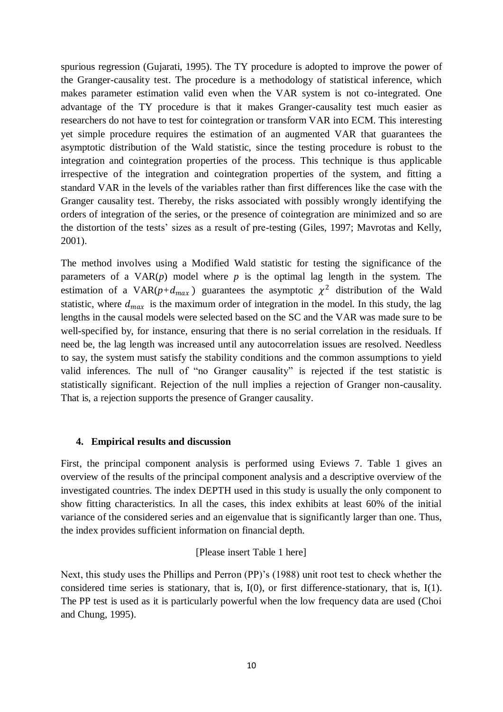spurious regression (Gujarati, 1995). The TY procedure is adopted to improve the power of the Granger-causality test. The procedure is a methodology of statistical inference, which makes parameter estimation valid even when the VAR system is not co-integrated. One advantage of the TY procedure is that it makes Granger-causality test much easier as researchers do not have to test for cointegration or transform VAR into ECM. This interesting yet simple procedure requires the estimation of an augmented VAR that guarantees the asymptotic distribution of the Wald statistic, since the testing procedure is robust to the integration and cointegration properties of the process. This technique is thus applicable irrespective of the integration and cointegration properties of the system, and fitting a standard VAR in the levels of the variables rather than first differences like the case with the Granger causality test. Thereby, the risks associated with possibly wrongly identifying the orders of integration of the series, or the presence of cointegration are minimized and so are the distortion of the tests' sizes as a result of pre-testing (Giles, 1997; Mavrotas and Kelly, 2001).

The method involves using a Modified Wald statistic for testing the significance of the parameters of a  $VAR(p)$  model where *p* is the optimal lag length in the system. The estimation of a VAR( $p+d_{max}$ ) guarantees the asymptotic  $\chi^2$  distribution of the Wald statistic, where  $d_{max}$  is the maximum order of integration in the model. In this study, the lag lengths in the causal models were selected based on the SC and the VAR was made sure to be well-specified by, for instance, ensuring that there is no serial correlation in the residuals. If need be, the lag length was increased until any autocorrelation issues are resolved. Needless to say, the system must satisfy the stability conditions and the common assumptions to yield valid inferences. The null of "no Granger causality" is rejected if the test statistic is statistically significant. Rejection of the null implies a rejection of Granger non-causality. That is, a rejection supports the presence of Granger causality.

#### **4. Empirical results and discussion**

First, the principal component analysis is performed using Eviews 7. Table 1 gives an overview of the results of the principal component analysis and a descriptive overview of the investigated countries. The index DEPTH used in this study is usually the only component to show fitting characteristics. In all the cases, this index exhibits at least 60% of the initial variance of the considered series and an eigenvalue that is significantly larger than one. Thus, the index provides sufficient information on financial depth.

#### [Please insert Table 1 here]

Next, this study uses the Phillips and Perron (PP)'s (1988) unit root test to check whether the considered time series is stationary, that is, I(0), or first difference-stationary, that is, I(1). The PP test is used as it is particularly powerful when the low frequency data are used (Choi and Chung, 1995).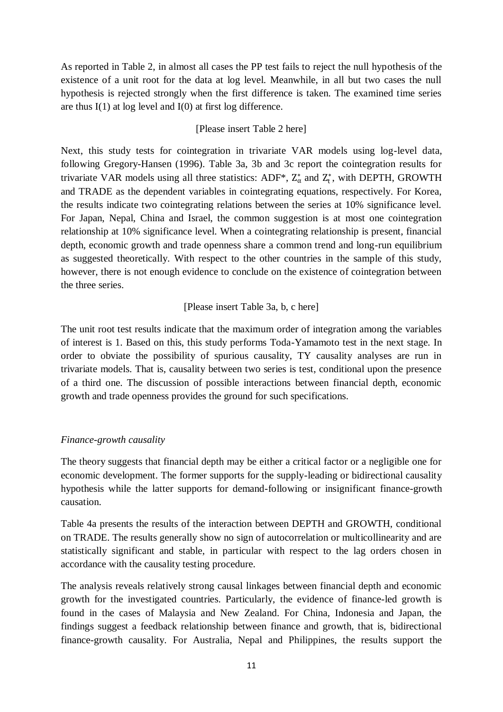As reported in Table 2, in almost all cases the PP test fails to reject the null hypothesis of the existence of a unit root for the data at log level. Meanwhile, in all but two cases the null hypothesis is rejected strongly when the first difference is taken. The examined time series are thus  $I(1)$  at log level and  $I(0)$  at first log difference.

#### [Please insert Table 2 here]

Next, this study tests for cointegration in trivariate VAR models using log-level data, following Gregory-Hansen (1996). Table 3a, 3b and 3c report the cointegration results for trivariate VAR models using all three statistics: ADF<sup>\*</sup>,  $Z^*_{\alpha}$  and  $Z^*_{t}$ , with DEPTH, GROWTH and TRADE as the dependent variables in cointegrating equations, respectively. For Korea, the results indicate two cointegrating relations between the series at 10% significance level. For Japan, Nepal, China and Israel, the common suggestion is at most one cointegration relationship at 10% significance level. When a cointegrating relationship is present, financial depth, economic growth and trade openness share a common trend and long-run equilibrium as suggested theoretically. With respect to the other countries in the sample of this study, however, there is not enough evidence to conclude on the existence of cointegration between the three series.

#### [Please insert Table 3a, b, c here]

The unit root test results indicate that the maximum order of integration among the variables of interest is 1. Based on this, this study performs Toda-Yamamoto test in the next stage. In order to obviate the possibility of spurious causality, TY causality analyses are run in trivariate models. That is, causality between two series is test, conditional upon the presence of a third one. The discussion of possible interactions between financial depth, economic growth and trade openness provides the ground for such specifications.

#### *Finance-growth causality*

The theory suggests that financial depth may be either a critical factor or a negligible one for economic development. The former supports for the supply-leading or bidirectional causality hypothesis while the latter supports for demand-following or insignificant finance-growth causation.

Table 4a presents the results of the interaction between DEPTH and GROWTH, conditional on TRADE. The results generally show no sign of autocorrelation or multicollinearity and are statistically significant and stable, in particular with respect to the lag orders chosen in accordance with the causality testing procedure.

The analysis reveals relatively strong causal linkages between financial depth and economic growth for the investigated countries. Particularly, the evidence of finance-led growth is found in the cases of Malaysia and New Zealand. For China, Indonesia and Japan, the findings suggest a feedback relationship between finance and growth, that is, bidirectional finance-growth causality. For Australia, Nepal and Philippines, the results support the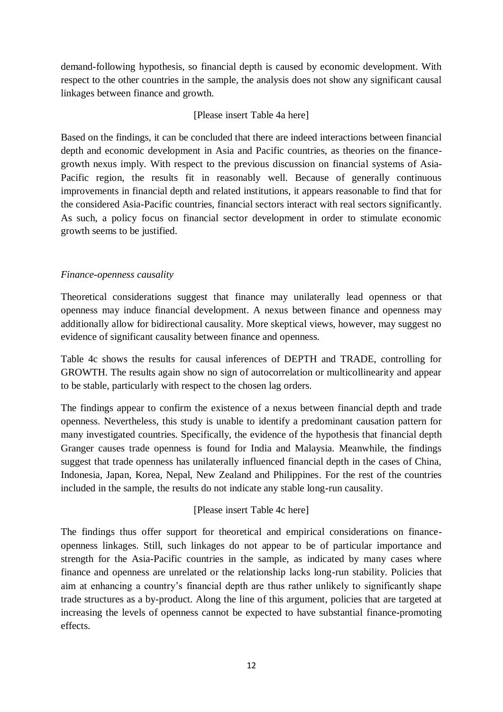demand-following hypothesis, so financial depth is caused by economic development. With respect to the other countries in the sample, the analysis does not show any significant causal linkages between finance and growth.

#### [Please insert Table 4a here]

Based on the findings, it can be concluded that there are indeed interactions between financial depth and economic development in Asia and Pacific countries, as theories on the financegrowth nexus imply. With respect to the previous discussion on financial systems of Asia-Pacific region, the results fit in reasonably well. Because of generally continuous improvements in financial depth and related institutions, it appears reasonable to find that for the considered Asia-Pacific countries, financial sectors interact with real sectors significantly. As such, a policy focus on financial sector development in order to stimulate economic growth seems to be justified.

#### *Finance-openness causality*

Theoretical considerations suggest that finance may unilaterally lead openness or that openness may induce financial development. A nexus between finance and openness may additionally allow for bidirectional causality. More skeptical views, however, may suggest no evidence of significant causality between finance and openness.

Table 4c shows the results for causal inferences of DEPTH and TRADE, controlling for GROWTH. The results again show no sign of autocorrelation or multicollinearity and appear to be stable, particularly with respect to the chosen lag orders.

The findings appear to confirm the existence of a nexus between financial depth and trade openness. Nevertheless, this study is unable to identify a predominant causation pattern for many investigated countries. Specifically, the evidence of the hypothesis that financial depth Granger causes trade openness is found for India and Malaysia. Meanwhile, the findings suggest that trade openness has unilaterally influenced financial depth in the cases of China, Indonesia, Japan, Korea, Nepal, New Zealand and Philippines. For the rest of the countries included in the sample, the results do not indicate any stable long-run causality.

#### [Please insert Table 4c here]

The findings thus offer support for theoretical and empirical considerations on financeopenness linkages. Still, such linkages do not appear to be of particular importance and strength for the Asia-Pacific countries in the sample, as indicated by many cases where finance and openness are unrelated or the relationship lacks long-run stability. Policies that aim at enhancing a country's financial depth are thus rather unlikely to significantly shape trade structures as a by-product. Along the line of this argument, policies that are targeted at increasing the levels of openness cannot be expected to have substantial finance-promoting effects.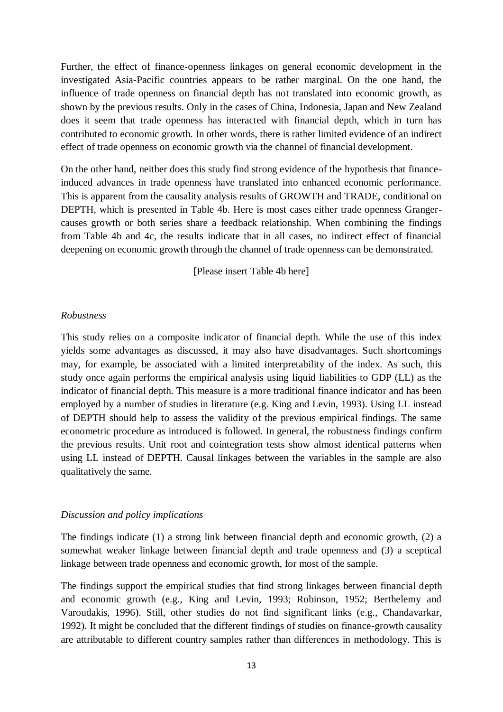Further, the effect of finance-openness linkages on general economic development in the investigated Asia-Pacific countries appears to be rather marginal. On the one hand, the influence of trade openness on financial depth has not translated into economic growth, as shown by the previous results. Only in the cases of China, Indonesia, Japan and New Zealand does it seem that trade openness has interacted with financial depth, which in turn has contributed to economic growth. In other words, there is rather limited evidence of an indirect effect of trade openness on economic growth via the channel of financial development.

On the other hand, neither does this study find strong evidence of the hypothesis that financeinduced advances in trade openness have translated into enhanced economic performance. This is apparent from the causality analysis results of GROWTH and TRADE, conditional on DEPTH, which is presented in Table 4b. Here is most cases either trade openness Grangercauses growth or both series share a feedback relationship. When combining the findings from Table 4b and 4c, the results indicate that in all cases, no indirect effect of financial deepening on economic growth through the channel of trade openness can be demonstrated.

[Please insert Table 4b here]

#### *Robustness*

This study relies on a composite indicator of financial depth. While the use of this index yields some advantages as discussed, it may also have disadvantages. Such shortcomings may, for example, be associated with a limited interpretability of the index. As such, this study once again performs the empirical analysis using liquid liabilities to GDP (LL) as the indicator of financial depth. This measure is a more traditional finance indicator and has been employed by a number of studies in literature (e.g. King and Levin, 1993). Using LL instead of DEPTH should help to assess the validity of the previous empirical findings. The same econometric procedure as introduced is followed. In general, the robustness findings confirm the previous results. Unit root and cointegration tests show almost identical patterns when using LL instead of DEPTH. Causal linkages between the variables in the sample are also qualitatively the same.

#### *Discussion and policy implications*

The findings indicate (1) a strong link between financial depth and economic growth, (2) a somewhat weaker linkage between financial depth and trade openness and (3) a sceptical linkage between trade openness and economic growth, for most of the sample.

The findings support the empirical studies that find strong linkages between financial depth and economic growth (e.g., King and Levin, 1993; Robinson, 1952; Berthelemy and Varoudakis, 1996). Still, other studies do not find significant links (e.g., Chandavarkar, 1992). It might be concluded that the different findings of studies on finance-growth causality are attributable to different country samples rather than differences in methodology. This is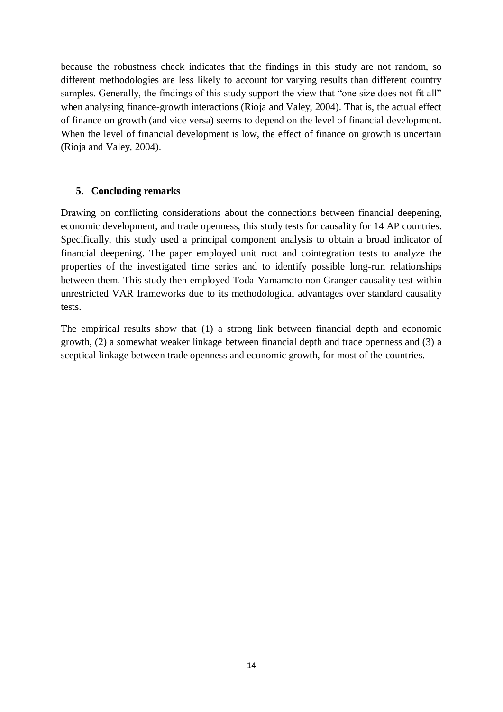because the robustness check indicates that the findings in this study are not random, so different methodologies are less likely to account for varying results than different country samples. Generally, the findings of this study support the view that "one size does not fit all" when analysing finance-growth interactions (Rioja and Valey, 2004). That is, the actual effect of finance on growth (and vice versa) seems to depend on the level of financial development. When the level of financial development is low, the effect of finance on growth is uncertain (Rioja and Valey, 2004).

#### **5. Concluding remarks**

Drawing on conflicting considerations about the connections between financial deepening, economic development, and trade openness, this study tests for causality for 14 AP countries. Specifically, this study used a principal component analysis to obtain a broad indicator of financial deepening. The paper employed unit root and cointegration tests to analyze the properties of the investigated time series and to identify possible long-run relationships between them. This study then employed Toda-Yamamoto non Granger causality test within unrestricted VAR frameworks due to its methodological advantages over standard causality tests.

The empirical results show that (1) a strong link between financial depth and economic growth, (2) a somewhat weaker linkage between financial depth and trade openness and (3) a sceptical linkage between trade openness and economic growth, for most of the countries.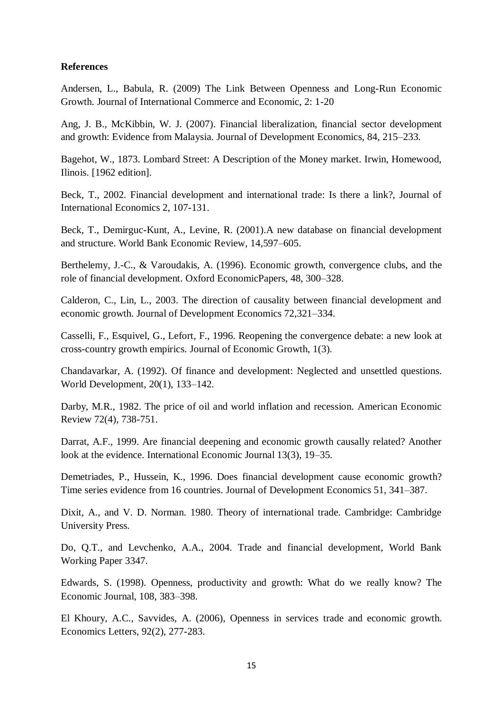#### **References**

Andersen, L., Babula, R. (2009) The Link Between Openness and Long-Run Economic Growth. Journal of International Commerce and Economic, 2: 1-20

Ang, J. B., McKibbin, W. J. (2007). Financial liberalization, financial sector development and growth: Evidence from Malaysia. Journal of Development Economics, 84, 215–233.

Bagehot, W., 1873. Lombard Street: A Description of the Money market. Irwin, Homewood, Ilinois. [1962 edition].

Beck, T., 2002. Financial development and international trade: Is there a link?, Journal of International Economics 2, 107-131.

Beck, T., Demirguc-Kunt, A., Levine, R. (2001).A new database on financial development and structure. World Bank Economic Review, 14,597–605.

Berthelemy, J.-C., & Varoudakis, A. (1996). Economic growth, convergence clubs, and the role of financial development. Oxford EconomicPapers, 48, 300–328.

Calderon, C., Lin, L., 2003. The direction of causality between financial development and economic growth. Journal of Development Economics 72,321–334.

Casselli, F., Esquivel, G., Lefort, F., 1996. Reopening the convergence debate: a new look at cross-country growth empirics. Journal of Economic Growth, 1(3).

Chandavarkar, A. (1992). Of finance and development: Neglected and unsettled questions. World Development, 20(1), 133–142.

Darby, M.R., 1982. The price of oil and world inflation and recession. American Economic Review 72(4), 738-751.

Darrat, A.F., 1999. Are financial deepening and economic growth causally related? Another look at the evidence. International Economic Journal 13(3), 19–35.

Demetriades, P., Hussein, K., 1996. Does financial development cause economic growth? Time series evidence from 16 countries. Journal of Development Economics 51, 341–387.

Dixit, A., and V. D. Norman. 1980. Theory of international trade. Cambridge: Cambridge University Press.

Do, Q.T., and Levchenko, A.A., 2004. Trade and financial development, World Bank Working Paper 3347.

Edwards, S. (1998). Openness, productivity and growth: What do we really know? The Economic Journal, 108, 383–398.

El Khoury, A.C., Savvides, A. (2006), Openness in services trade and economic growth. Economics Letters, 92(2), 277-283.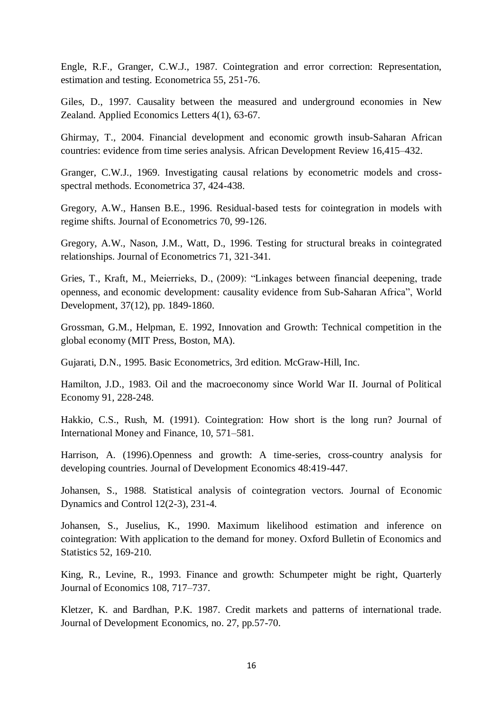Engle, R.F., Granger, C.W.J., 1987. Cointegration and error correction: Representation, estimation and testing. Econometrica 55, 251-76.

Giles, D., 1997. Causality between the measured and underground economies in New Zealand. Applied Economics Letters 4(1), 63-67.

Ghirmay, T., 2004. Financial development and economic growth insub-Saharan African countries: evidence from time series analysis. African Development Review 16,415–432.

Granger, C.W.J., 1969. Investigating causal relations by econometric models and crossspectral methods. Econometrica 37, 424-438.

Gregory, A.W., Hansen B.E., 1996. Residual-based tests for cointegration in models with regime shifts. Journal of Econometrics 70, 99-126.

Gregory, A.W., Nason, J.M., Watt, D., 1996. Testing for structural breaks in cointegrated relationships. Journal of Econometrics 71, 321-341.

Gries, T., Kraft, M., Meierrieks, D., (2009): "Linkages between financial deepening, trade openness, and economic development: causality evidence from Sub-Saharan Africa", World Development, 37(12), pp. 1849-1860.

Grossman, G.M., Helpman, E. 1992, Innovation and Growth: Technical competition in the global economy (MIT Press, Boston, MA).

Gujarati, D.N., 1995. Basic Econometrics, 3rd edition. McGraw-Hill, Inc.

Hamilton, J.D., 1983. Oil and the macroeconomy since World War II. Journal of Political Economy 91, 228-248.

Hakkio, C.S., Rush, M. (1991). Cointegration: How short is the long run? Journal of International Money and Finance, 10, 571–581.

Harrison, A. (1996).Openness and growth: A time-series, cross-country analysis for developing countries. Journal of Development Economics 48:419-447.

Johansen, S., 1988. Statistical analysis of cointegration vectors. Journal of Economic Dynamics and Control 12(2-3), 231-4.

Johansen, S., Juselius, K., 1990. Maximum likelihood estimation and inference on cointegration: With application to the demand for money. Oxford Bulletin of Economics and Statistics 52, 169-210.

King, R., Levine, R., 1993. Finance and growth: Schumpeter might be right, Quarterly Journal of Economics 108, 717–737.

Kletzer, K. and Bardhan, P.K. 1987. Credit markets and patterns of international trade. Journal of Development Economics, no. 27, pp.57-70.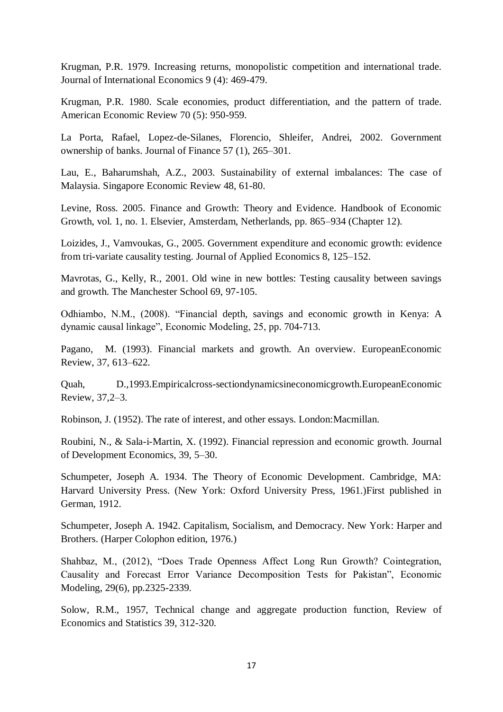Krugman, P.R. 1979. Increasing returns, monopolistic competition and international trade. Journal of International Economics 9 (4): 469-479.

Krugman, P.R. 1980. Scale economies, product differentiation, and the pattern of trade. American Economic Review 70 (5): 950-959.

La Porta, Rafael, Lopez-de-Silanes, Florencio, Shleifer, Andrei, 2002. Government ownership of banks. Journal of Finance 57 (1), 265–301.

Lau, E., Baharumshah, A.Z., 2003. Sustainability of external imbalances: The case of Malaysia. Singapore Economic Review 48, 61-80.

Levine, Ross. 2005. Finance and Growth: Theory and Evidence. Handbook of Economic Growth, vol. 1, no. 1. Elsevier, Amsterdam, Netherlands, pp. 865–934 (Chapter 12).

Loizides, J., Vamvoukas, G., 2005. Government expenditure and economic growth: evidence from tri-variate causality testing. Journal of Applied Economics 8, 125–152.

Mavrotas, G., Kelly, R., 2001. Old wine in new bottles: Testing causality between savings and growth. The Manchester School 69, 97-105.

Odhiambo, N.M., (2008). "Financial depth, savings and economic growth in Kenya: A dynamic causal linkage", Economic Modeling, 25, pp. 704-713.

Pagano, M. (1993). Financial markets and growth. An overview. EuropeanEconomic Review, 37, 613–622.

Quah, D.,1993.Empiricalcross-sectiondynamicsineconomicgrowth.EuropeanEconomic Review, 37,2–3.

Robinson, J. (1952). The rate of interest, and other essays. London:Macmillan.

Roubini, N., & Sala-i-Martin, X. (1992). Financial repression and economic growth. Journal of Development Economics, 39, 5–30.

Schumpeter, Joseph A. 1934. The Theory of Economic Development. Cambridge, MA: Harvard University Press. (New York: Oxford University Press, 1961.)First published in German, 1912.

Schumpeter, Joseph A. 1942. Capitalism, Socialism, and Democracy. New York: Harper and Brothers. (Harper Colophon edition, 1976.)

Shahbaz, M., (2012), "Does Trade Openness Affect Long Run Growth? Cointegration, Causality and Forecast Error Variance Decomposition Tests for Pakistan", Economic Modeling, 29(6), pp.2325-2339.

Solow, R.M., 1957, Technical change and aggregate production function, Review of Economics and Statistics 39, 312-320.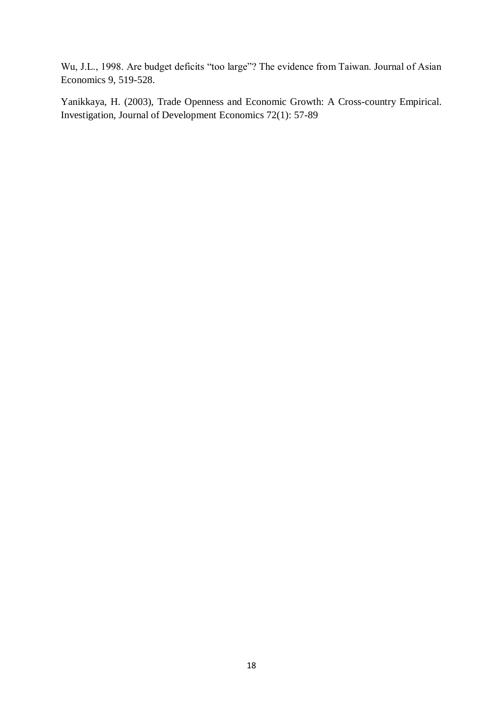Wu, J.L., 1998. Are budget deficits "too large"? The evidence from Taiwan. Journal of Asian Economics 9, 519-528.

Yanikkaya, H. (2003), Trade Openness and Economic Growth: A Cross-country Empirical. Investigation, Journal of Development Economics 72(1): 57-89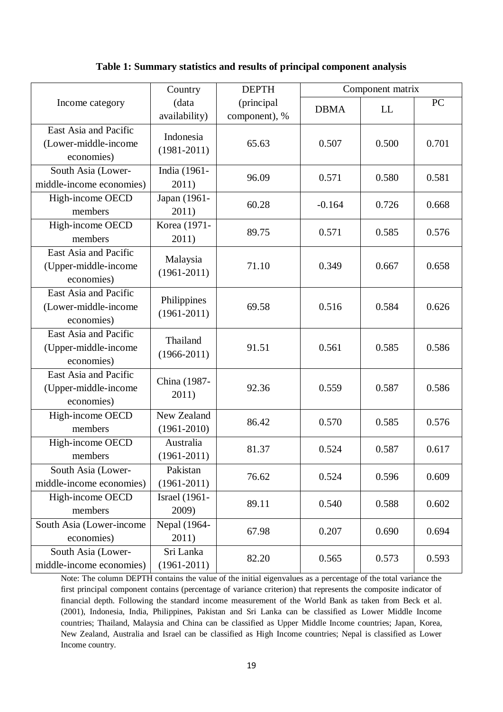#### **Table 1: Summary statistics and results of principal component analysis**

|                                                             | Country                        | <b>DEPTH</b>                | Component matrix |       |       |
|-------------------------------------------------------------|--------------------------------|-----------------------------|------------------|-------|-------|
| Income category                                             | (data<br>availability)         | (principal<br>component), % | <b>DBMA</b>      | LL    | PC    |
| East Asia and Pacific<br>(Lower-middle-income<br>economies) | Indonesia<br>$(1981 - 2011)$   | 65.63                       | 0.507            | 0.500 | 0.701 |
| South Asia (Lower-<br>middle-income economies)              | India (1961-<br>2011)          | 96.09                       | 0.571            | 0.580 | 0.581 |
| High-income OECD<br>members                                 | Japan (1961-<br>2011)          | 60.28                       | $-0.164$         | 0.726 | 0.668 |
| High-income OECD<br>members                                 | Korea (1971-<br>2011)          | 89.75                       | 0.571            | 0.585 | 0.576 |
| East Asia and Pacific<br>(Upper-middle-income<br>economies) | Malaysia<br>$(1961 - 2011)$    | 71.10                       | 0.349            | 0.667 | 0.658 |
| East Asia and Pacific<br>(Lower-middle-income<br>economies) | Philippines<br>$(1961 - 2011)$ | 69.58                       | 0.516            | 0.584 | 0.626 |
| East Asia and Pacific<br>(Upper-middle-income<br>economies) | Thailand<br>$(1966 - 2011)$    | 91.51                       | 0.561            | 0.585 | 0.586 |
| East Asia and Pacific<br>(Upper-middle-income<br>economies) | China (1987-<br>2011)          | 92.36                       | 0.559            | 0.587 | 0.586 |
| High-income OECD<br>members                                 | New Zealand<br>$(1961 - 2010)$ | 86.42                       | 0.570            | 0.585 | 0.576 |
| High-income OECD<br>members                                 | Australia<br>$(1961 - 2011)$   | 81.37                       | 0.524            | 0.587 | 0.617 |
| South Asia (Lower-<br>middle-income economies)              | Pakistan<br>$(1961 - 2011)$    | 76.62                       | 0.524            | 0.596 | 0.609 |
| High-income OECD<br>members                                 | <b>Israel</b> (1961-<br>2009)  | 89.11                       | 0.540            | 0.588 | 0.602 |
| South Asia (Lower-income<br>economies)                      | Nepal (1964-<br>2011)          | 67.98                       | 0.207            | 0.690 | 0.694 |
| South Asia (Lower-<br>middle-income economies)              | Sri Lanka<br>$(1961 - 2011)$   | 82.20                       | 0.565            | 0.573 | 0.593 |

Note: The column DEPTH contains the value of the initial eigenvalues as a percentage of the total variance the first principal component contains (percentage of variance criterion) that represents the composite indicator of financial depth. Following the standard income measurement of the World Bank as taken from Beck et al. (2001), Indonesia, India, Philippines, Pakistan and Sri Lanka can be classified as Lower Middle Income countries; Thailand, Malaysia and China can be classified as Upper Middle Income countries; Japan, Korea, New Zealand, Australia and Israel can be classified as High Income countries; Nepal is classified as Lower Income country.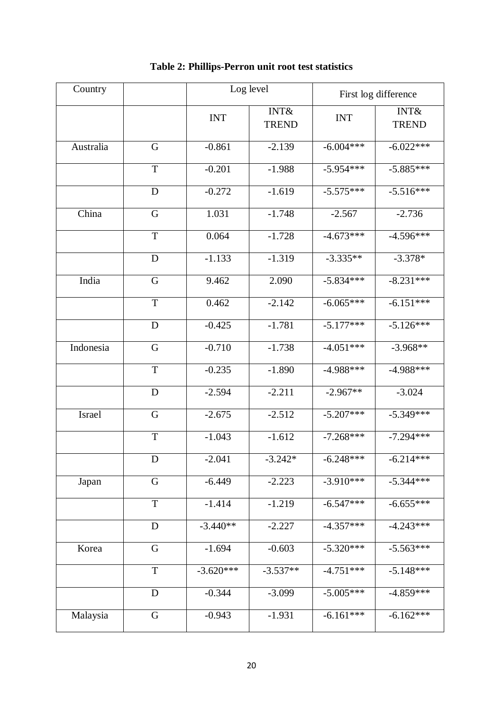| Country   |             | Log level   |                                 | First log difference |                                 |  |
|-----------|-------------|-------------|---------------------------------|----------------------|---------------------------------|--|
|           |             | <b>INT</b>  | <b>INT&amp;</b><br><b>TREND</b> | <b>INT</b>           | <b>INT&amp;</b><br><b>TREND</b> |  |
| Australia | G           | $-0.861$    | $-2.139$                        | $-6.004***$          | $-6.022***$                     |  |
|           | $\mathbf T$ | $-0.201$    | $-1.988$                        | $-5.954***$          | $-5.885***$                     |  |
|           | D           | $-0.272$    | $-1.619$                        | $-5.575***$          | $-5.516***$                     |  |
| China     | $\mathbf G$ | 1.031       | $-1.748$                        | $-2.567$             | $-2.736$                        |  |
|           | $\mathbf T$ | 0.064       | $-1.728$                        | $-4.673***$          | $-4.596***$                     |  |
|           | D           | $-1.133$    | $-1.319$                        | $-3.335**$           | $-3.378*$                       |  |
| India     | $\mathbf G$ | 9.462       | 2.090                           | $-5.834***$          | $-8.231***$                     |  |
|           | $\mathbf T$ | 0.462       | $-2.142$                        | $-6.065***$          | $-6.151***$                     |  |
|           | D           | $-0.425$    | $-1.781$                        | $-5.177***$          | $-5.126***$                     |  |
| Indonesia | $\mathbf G$ | $-0.710$    | $-1.738$                        | $-4.051***$          | $-3.968**$                      |  |
|           | T           | $-0.235$    | $-1.890$                        | $-4.988***$          | $-4.988***$                     |  |
|           | D           | $-2.594$    | $-2.211$                        | $-2.967**$           | $-3.024$                        |  |
| Israel    | $\mathbf G$ | $-2.675$    | $-2.512$                        | $-5.207***$          | $-5.349***$                     |  |
|           | $\mathbf T$ | $-1.043$    | $-1.612$                        | $-7.268***$          | $-7.294***$                     |  |
|           | D           | $-2.041$    | $-3.242*$                       | $-6.248***$          | $-6.214***$                     |  |
| Japan     | G           | $-6.449$    | $-2.223$                        | $-3.910***$          | $-5.344***$                     |  |
|           | $\mathbf T$ | $-1.414$    | $-1.219$                        | $-6.547***$          | $-6.655***$                     |  |
|           | D           | $-3.440**$  | $-2.227$                        | $-4.357***$          | $-4.243***$                     |  |
| Korea     | $\mathbf G$ | $-1.694$    | $-0.603$                        | $-5.320***$          | $-5.563***$                     |  |
|           | $\mathbf T$ | $-3.620***$ | $-3.537**$                      | $-4.751***$          | $-5.148***$                     |  |
|           | D           | $-0.344$    | $-3.099$                        | $-5.005***$          | $-4.859***$                     |  |
| Malaysia  | G           | $-0.943$    | $-1.931$                        | $-6.161***$          | $-6.162***$                     |  |

## **Table 2: Phillips-Perron unit root test statistics**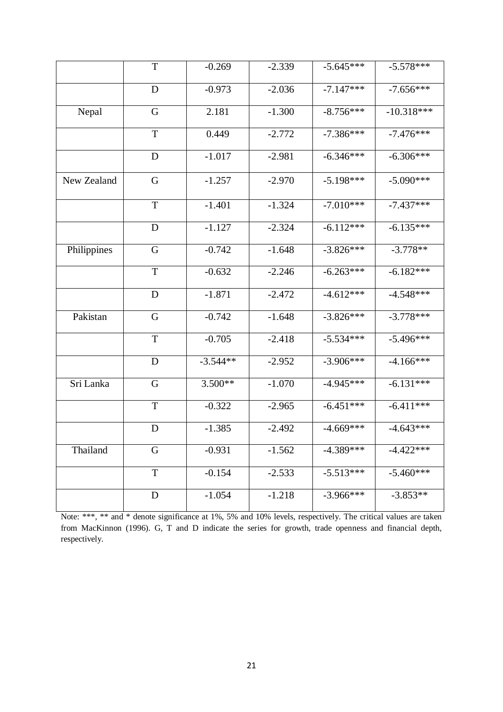|             | T           | $-0.269$   | $-2.339$ | $-5.645***$ | $-5.578***$  |
|-------------|-------------|------------|----------|-------------|--------------|
|             | D           | $-0.973$   | $-2.036$ | $-7.147***$ | $-7.656***$  |
| Nepal       | G           | 2.181      | $-1.300$ | $-8.756***$ | $-10.318***$ |
|             | T           | 0.449      | $-2.772$ | $-7.386***$ | $-7.476***$  |
|             | D           | $-1.017$   | $-2.981$ | $-6.346***$ | $-6.306***$  |
| New Zealand | G           | $-1.257$   | $-2.970$ | $-5.198***$ | $-5.090***$  |
|             | $\mathbf T$ | $-1.401$   | $-1.324$ | $-7.010***$ | $-7.437***$  |
|             | D           | $-1.127$   | $-2.324$ | $-6.112***$ | $-6.135***$  |
| Philippines | G           | $-0.742$   | $-1.648$ | $-3.826***$ | $-3.778**$   |
|             | T           | $-0.632$   | $-2.246$ | $-6.263***$ | $-6.182***$  |
|             | D           | $-1.871$   | $-2.472$ | $-4.612***$ | $-4.548***$  |
| Pakistan    | $\mathbf G$ | $-0.742$   | $-1.648$ | $-3.826***$ | $-3.778***$  |
|             | T           | $-0.705$   | $-2.418$ | $-5.534***$ | $-5.496***$  |
|             | D           | $-3.544**$ | $-2.952$ | $-3.906***$ | $-4.166***$  |
| Sri Lanka   | G           | $3.500**$  | $-1.070$ | $-4.945***$ | $-6.131***$  |
|             | T           | $-0.322$   | $-2.965$ | $-6.451***$ | $-6.411***$  |
|             | D           | $-1.385$   | $-2.492$ | $-4.669***$ | $-4.643***$  |
| Thailand    | G           | $-0.931$   | $-1.562$ | $-4.389***$ | $-4.422***$  |
|             | $\mathbf T$ | $-0.154$   | $-2.533$ | $-5.513***$ | $-5.460***$  |
|             | D           | $-1.054$   | $-1.218$ | $-3.966***$ | $-3.853**$   |

Note: \*\*\*, \*\* and \* denote significance at 1%, 5% and 10% levels, respectively. The critical values are taken from MacKinnon (1996). G, T and D indicate the series for growth, trade openness and financial depth, respectively.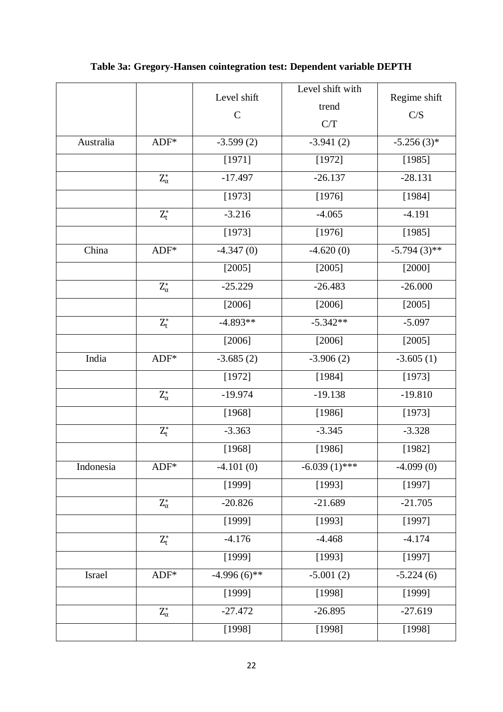|           |                           | Level shift<br>$\mathbf C$ | Level shift with<br>trend<br>C/T | Regime shift<br>C/S |
|-----------|---------------------------|----------------------------|----------------------------------|---------------------|
| Australia | $ADF*$                    | $-3.599(2)$                | $-3.941(2)$                      | $-5.256(3)*$        |
|           |                           | [1971]                     | [1972]                           | [1985]              |
|           | $\mathrm{Z}_\alpha^*$     | $-17.497$                  | $-26.137$                        | $-28.131$           |
|           |                           | [1973]                     | [1976]                           | [1984]              |
|           | $\mathbf{Z}_\mathsf{t}^*$ | $-3.216$                   | $-4.065$                         | $-4.191$            |
|           |                           | [1973]                     | [1976]                           | [1985]              |
| China     | $ADF*$                    | $-4.347(0)$                | $-4.620(0)$                      | $-5.794(3)$ **      |
|           |                           | [2005]                     | [2005]                           | [2000]              |
|           | $\mathbf{Z}_\alpha^*$     | $-25.229$                  | $-26.483$                        | $-26.000$           |
|           |                           | [2006]                     | [2006]                           | [2005]              |
|           | $Z_t^*$                   | $-4.893**$                 | $-5.342**$                       | $-5.097$            |
|           |                           | [2006]                     | [2006]                           | [2005]              |
| India     | $ADF*$                    | $-3.685(2)$                | $-3.906(2)$                      | $-3.605(1)$         |
|           |                           | [1972]                     | [1984]                           | [1973]              |
|           | $\mathbf{Z}_\alpha^*$     | $-19.974$                  | $-19.138$                        | $-19.810$           |
|           |                           | [1968]                     | [1986]                           | [1973]              |
|           | $\mathbf{Z}_\mathsf{t}^*$ | $-3.363$                   | $-3.345$                         | $-3.328$            |
|           |                           | [1968]                     | [1986]                           | [1982]              |
| Indonesia | $ADF*$                    | $-4.101(0)$                | $-6.039(1)$ ***                  | $-4.099(0)$         |
|           |                           | [1999]                     | [1993]                           | [1997]              |
|           | $\mathrm{Z}_\alpha^*$     | $-20.826$                  | $-21.689$                        | $-21.705$           |
|           |                           | [1999]                     | [1993]                           | [1997]              |
|           | $\mathbf{Z}_\mathsf{t}^*$ | $-4.176$                   | $-4.468$                         | $-4.174$            |
|           |                           | [1999]                     | [1993]                           | [1997]              |
| Israel    | $ADF*$                    | $-4.996(6)$ **             | $-5.001(2)$                      | $-5.224(6)$         |
|           |                           | [1999]                     | [1998]                           | [1999]              |
|           | $Z_\alpha^*$              | $-27.472$                  | $-26.895$                        | $-27.619$           |
|           |                           | [1998]                     | [1998]                           | [1998]              |

## **Table 3a: Gregory-Hansen cointegration test: Dependent variable DEPTH**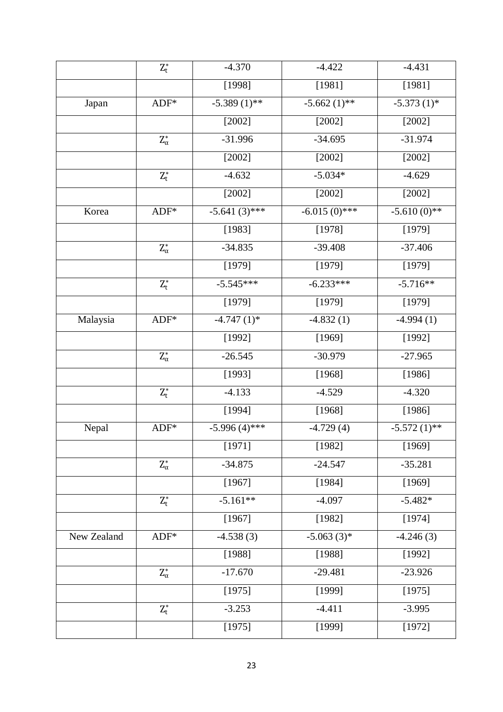|             | $\mathbf{Z}_\mathsf{t}^*$ | $-4.370$        | $-4.422$        | $-4.431$                 |
|-------------|---------------------------|-----------------|-----------------|--------------------------|
|             |                           | [1998]          | [1981]          | [1981]                   |
| Japan       | $ADF*$                    | $-5.389(1)$ **  | $-5.662(1)$ **  | $-5.373(1)$ *            |
|             |                           | $[2002]$        | $[2002]$        | $[2002]$                 |
|             | $Z_\alpha^*$              | $-31.996$       | $-34.695$       | $-31.974$                |
|             |                           | [2002]          | [2002]          | [2002]                   |
|             | $\mathbf{Z}_t^*$          | $-4.632$        | $-5.034*$       | $-4.629$                 |
|             |                           | $[2002]$        | $[2002]$        | $[2002]$                 |
| Korea       | $ADF*$                    | $-5.641(3)$ *** | $-6.015(0)$ *** | $-5.\overline{610(0)**}$ |
|             |                           | [1983]          | [1978]          | [1979]                   |
|             | $\mathrm{Z}_\alpha^*$     | $-34.835$       | $-39.408$       | $-37.406$                |
|             |                           | [1979]          | [1979]          | [1979]                   |
|             | $\mathbf{Z}_\mathsf{t}^*$ | $-5.545***$     | $-6.233***$     | $-5.716**$               |
|             |                           | [1979]          | [1979]          | [1979]                   |
| Malaysia    | $ADF*$                    | $-4.747(1)$ *   | $-4.832(1)$     | $-4.994(1)$              |
|             |                           | [1992]          | [1969]          | [1992]                   |
|             | $\mathbf{Z}_\alpha^*$     | $-26.545$       | $-30.979$       | $-27.965$                |
|             |                           | [1993]          | [1968]          | [1986]                   |
|             | $Z_t^*$                   | $-4.133$        | $-4.529$        | $-4.320$                 |
|             |                           | [1994]          | [1968]          | [1986]                   |
| Nepal       | $ADF*$                    | $-5.996(4)$ *** | $-4.729(4)$     | $-5.572(1)$ **           |
|             |                           | [1971]          | [1982]          | [1969]                   |
|             | $\mathrm{Z}_\alpha^*$     | $-34.875$       | $-24.547$       | $-35.281$                |
|             |                           | [1967]          | [1984]          | [1969]                   |
|             | $Z_t^*$                   | $-5.161**$      | $-4.097$        | $-5.482*$                |
|             |                           | [1967]          | [1982]          | [1974]                   |
| New Zealand | $ADF*$                    | $-4.538(3)$     | $-5.063(3)*$    | $-4.246(3)$              |
|             |                           | [1988]          | [1988]          | [1992]                   |
|             | $\mathrm{Z}_\alpha^*$     | $-17.670$       | $-29.481$       | $-23.926$                |
|             |                           | [1975]          | [1999]          | [1975]                   |
|             | $Z_t^*$                   | $-3.253$        | $-4.411$        | $-3.995$                 |
|             |                           | [1975]          | [1999]          | [1972]                   |
|             |                           |                 |                 |                          |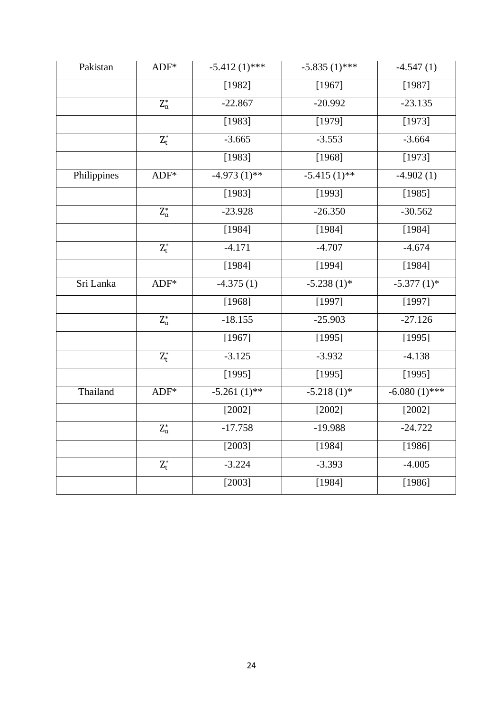| Pakistan    | $ADF*$                  | $-5.412(1)$ ***   | $-5.835(1)$ *** | $-4.547(1)$     |
|-------------|-------------------------|-------------------|-----------------|-----------------|
|             |                         | [1982]            | [1967]          | [1987]          |
|             | $\mathbf{Z}_\alpha^*$   | $-22.867$         | $-20.992$       | $-23.135$       |
|             |                         | [1983]            | [1979]          | [1973]          |
|             | $Z_{t}^{*}$             | $-3.665$          | $-3.553$        | $-3.664$        |
|             |                         | [1983]            | [1968]          | [1973]          |
| Philippines | $ADF*$                  | $-4.973(1)$ **    | $-5.415(1)$ **  | $-4.902(1)$     |
|             |                         | [1983]            | [1993]          | [1985]          |
|             | $\mathbf{Z}_\alpha^*$   | $-23.928$         | $-26.350$       | $-30.562$       |
|             |                         | [1984]            | [1984]          | [1984]          |
|             | $\mathbf{Z}_t^*$        | $-4.171$          | $-4.707$        | $-4.674$        |
|             |                         | [1984]            | [1994]          | [1984]          |
| Sri Lanka   | $ADF*$                  | $-4.375(1)$       | $-5.238(1)$ *   | $-5.377(1)$ *   |
|             |                         | [1968]            | [1997]          | [1997]          |
|             | $\mathbf{Z}_\alpha^*$   | $-18.155$         | $-25.903$       | $-27.126$       |
|             |                         | [1967]            | [1995]          | [1995]          |
|             | $\mathbf{Z}_t^*$        | $-3.125$          | $-3.932$        | $-4.138$        |
|             |                         | $\overline{1995}$ | [1995]          | [1995]          |
| Thailand    | $ADF*$                  | $-5.261(1)$ **    | $-5.218(1)$ *   | $-6.080(1)$ *** |
|             |                         | [2002]            | [2002]          | [2002]          |
|             | $\mathbf{Z}_\alpha^*$   | $-17.758$         | $-19.988$       | $-24.722$       |
|             |                         | [2003]            | [1984]          | [1986]          |
|             | $\mathbf{Z}_\text{t}^*$ | $-3.224$          | $-3.393$        | $-4.005$        |
|             |                         | [2003]            | [1984]          | [1986]          |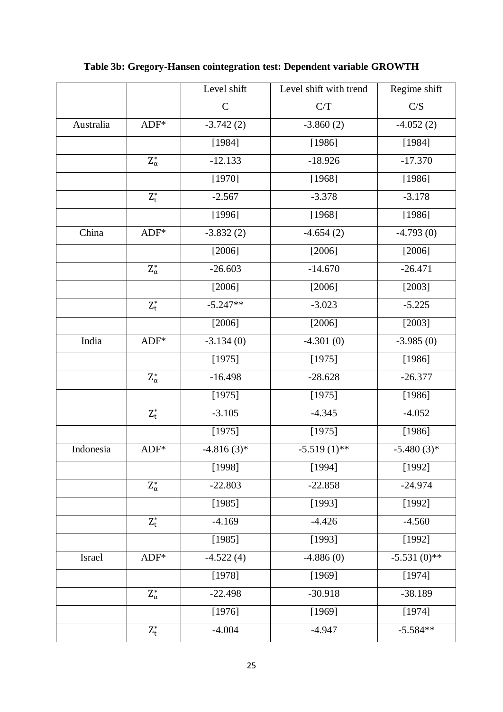|           |                           | Level shift   | Level shift with trend | Regime shift   |
|-----------|---------------------------|---------------|------------------------|----------------|
|           |                           | $\mathcal{C}$ | C/T                    | C/S            |
| Australia | $ADF*$                    | $-3.742(2)$   | $-3.860(2)$            | $-4.052(2)$    |
|           |                           | [1984]        | [1986]                 | [1984]         |
|           | $\mathbf{Z}_\alpha^*$     | $-12.133$     | $-18.926$              | $-17.370$      |
|           |                           | [1970]        | [1968]                 | [1986]         |
|           | $\mathbf{Z}_t^*$          | $-2.567$      | $-3.378$               | $-3.178$       |
|           |                           | [1996]        | [1968]                 | [1986]         |
| China     | $ADF*$                    | $-3.832(2)$   | $-4.654(2)$            | $-4.793(0)$    |
|           |                           | [2006]        | [2006]                 | [2006]         |
|           | $\mathbf{Z}_\alpha^*$     | $-26.603$     | $-14.670$              | $-26.471$      |
|           |                           | [2006]        | [2006]                 | $[2003]$       |
|           | $\mathbf{Z}_\mathsf{t}^*$ | $-5.247**$    | $-3.023$               | $-5.225$       |
|           |                           | [2006]        | [2006]                 | [2003]         |
| India     | $ADF*$                    | $-3.134(0)$   | $-4.301(0)$            | $-3.985(0)$    |
|           |                           | [1975]        | [1975]                 | [1986]         |
|           | $\mathbf{Z}_\alpha^*$     | $-16.498$     | $-28.628$              | $-26.377$      |
|           |                           | [1975]        | [1975]                 | [1986]         |
|           | $Z_t^*$                   | $-3.105$      | $-4.345$               | $-4.052$       |
|           |                           | [1975]        | [1975]                 | [1986]         |
| Indonesia | $ADF*$                    | $-4.816(3)$ * | $-5.519(1)$ **         | $-5.480(3)*$   |
|           |                           | [1998]        | [1994]                 | [1992]         |
|           | $\mathbf{Z}_\alpha^*$     | $-22.803$     | $-22.858$              | $-24.974$      |
|           |                           | [1985]        | [1993]                 | [1992]         |
|           | $Z_t^*$                   | $-4.169$      | $-4.426$               | $-4.560$       |
|           |                           | [1985]        | [1993]                 | [1992]         |
| Israel    | $ADF*$                    | $-4.522(4)$   | $-4.886(0)$            | $-5.531(0)$ ** |
|           |                           | [1978]        | [1969]                 | [1974]         |
|           | $\mathrm{Z}_\alpha^*$     | $-22.498$     | $-30.918$              | $-38.189$      |
|           |                           | [1976]        | [1969]                 | [1974]         |
|           | $Z_t^*$                   | $-4.004$      | $-4.947$               | $-5.584**$     |

## **Table 3b: Gregory-Hansen cointegration test: Dependent variable GROWTH**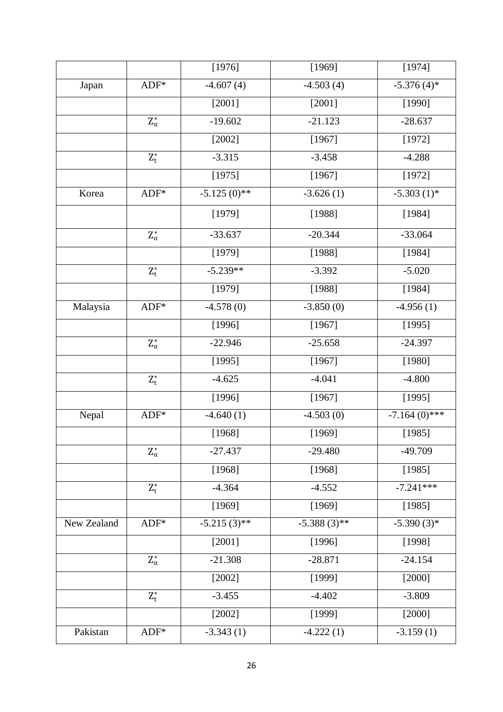|             |                           | [1976]         | [1969]         | [1974]          |
|-------------|---------------------------|----------------|----------------|-----------------|
| Japan       | $ADF*$                    | $-4.607(4)$    | $-4.503(4)$    | $-5.376(4)$ *   |
|             |                           | [2001]         | [2001]         | [1990]          |
|             | $\mathbf{Z}_\alpha^*$     | $-19.602$      | $-21.123$      | $-28.637$       |
|             |                           | [2002]         | [1967]         | [1972]          |
|             | $\mathbf{Z}_\mathsf{t}^*$ | $-3.315$       | $-3.458$       | $-4.288$        |
|             |                           | [1975]         | [1967]         | [1972]          |
| Korea       | $ADF*$                    | $-5.125(0)$ ** | $-3.626(1)$    | $-5.303(1)$ *   |
|             |                           | [1979]         | [1988]         | [1984]          |
|             | $\mathbf{Z}_\alpha^*$     | $-33.637$      | $-20.344$      | $-33.064$       |
|             |                           | [1979]         | [1988]         | [1984]          |
|             | $Z_t^*$                   | $-5.239**$     | $-3.392$       | $-5.020$        |
|             |                           | [1979]         | [1988]         | [1984]          |
| Malaysia    | $ADF*$                    | $-4.578(0)$    | $-3.850(0)$    | $-4.956(1)$     |
|             |                           | [1996]         | [1967]         | [1995]          |
|             | $\mathbf{Z}_\alpha^*$     | $-22.946$      | $-25.658$      | $-24.397$       |
|             |                           | [1995]         | [1967]         | [1980]          |
|             | $\mathbf{Z}_t^*$          | $-4.625$       | $-4.041$       | $-4.800$        |
|             |                           | [1996]         | [1967]         | [1995]          |
| Nepal       | $ADF*$                    | $-4.640(1)$    | $-4.503(0)$    | $-7.164(0)$ *** |
|             |                           | [1968]         | [1969]         | [1985]          |
|             | $\mathbf{Z}_\alpha^*$     | $-27.437$      | $-29.480$      | $-49.709$       |
|             |                           | [1968]         | [1968]         | [1985]          |
|             | $Z_t^*$                   | $-4.364$       | $-4.552$       | $-7.241***$     |
|             |                           | [1969]         | [1969]         | [1985]          |
| New Zealand | $ADF*$                    | $-5.215(3)$ ** | $-5.388(3)$ ** | $-5.390(3)*$    |
|             |                           | [2001]         | [1996]         | [1998]          |
|             | $\mathrm{Z}_\alpha^*$     | $-21.308$      | $-28.871$      | $-24.154$       |
|             |                           | [2002]         | [1999]         | [2000]          |
|             | $Z_t^*$                   | $-3.455$       | $-4.402$       | $-3.809$        |
|             |                           | [2002]         | [1999]         | [2000]          |
| Pakistan    | $ADF*$                    | $-3.343(1)$    | $-4.222(1)$    | $-3.159(1)$     |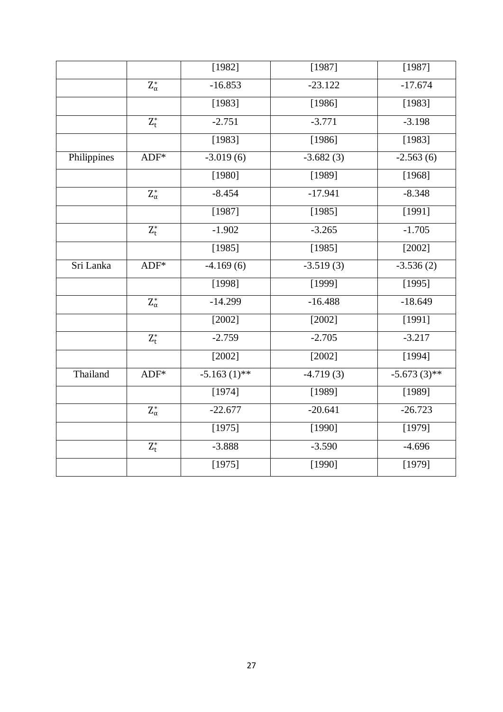|             |                       | [1982]         | [1987]      | [1987]         |
|-------------|-----------------------|----------------|-------------|----------------|
|             | $\mathbf{Z}_\alpha^*$ | $-16.853$      | $-23.122$   | $-17.674$      |
|             |                       | [1983]         | [1986]      | [1983]         |
|             | $\mathbf{Z}_t^*$      | $-2.751$       | $-3.771$    | $-3.198$       |
|             |                       | [1983]         | [1986]      | [1983]         |
| Philippines | $ADF*$                | $-3.019(6)$    | $-3.682(3)$ | $-2.563(6)$    |
|             |                       | [1980]         | [1989]      | [1968]         |
|             | $\mathbf{Z}_\alpha^*$ | $-8.454$       | $-17.941$   | $-8.348$       |
|             |                       | [1987]         | [1985]      | [1991]         |
|             | $\mathbf{Z}_t^*$      | $-1.902$       | $-3.265$    | $-1.705$       |
|             |                       | [1985]         | [1985]      | [2002]         |
| Sri Lanka   | $ADF*$                | $-4.169(6)$    | $-3.519(3)$ | $-3.536(2)$    |
|             |                       | [1998]         | [1999]      | [1995]         |
|             | $\mathbf{Z}_\alpha^*$ | $-14.299$      | $-16.488$   | $-18.649$      |
|             |                       | [2002]         | [2002]      | [1991]         |
|             | $\mathbf{Z}_t^*$      | $-2.759$       | $-2.705$    | $-3.217$       |
|             |                       | [2002]         | [2002]      | [1994]         |
| Thailand    | $ADF*$                | $-5.163(1)$ ** | $-4.719(3)$ | $-5.673(3)$ ** |
|             |                       | [1974]         | [1989]      | [1989]         |
|             | $\mathbf{Z}_\alpha^*$ | $-22.677$      | $-20.641$   | $-26.723$      |
|             |                       | [1975]         | [1990]      | [1979]         |
|             | $\mathbf{Z}_t^*$      | $-3.888$       | $-3.590$    | $-4.696$       |
|             |                       | [1975]         | [1990]      | [1979]         |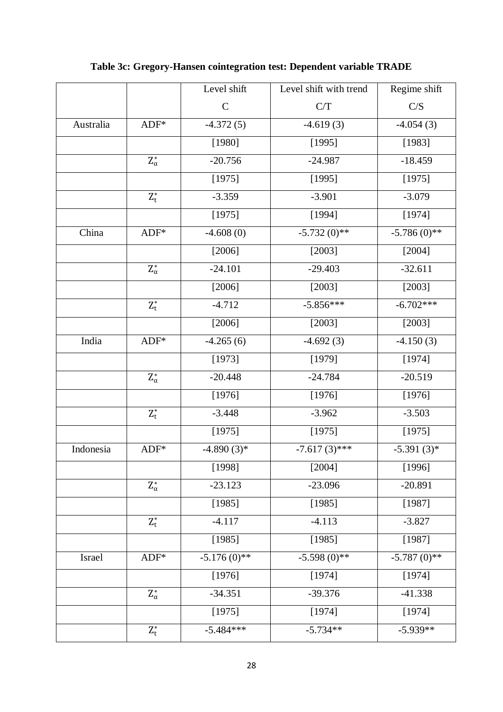|           |                           | Level shift    | Level shift with trend | Regime shift   |
|-----------|---------------------------|----------------|------------------------|----------------|
|           |                           | $\mathcal{C}$  | C/T                    | C/S            |
| Australia | $ADF*$                    | $-4.372(5)$    | $-4.619(3)$            | $-4.054(3)$    |
|           |                           | [1980]         | [1995]                 | [1983]         |
|           | $\mathbf{Z}_\alpha^*$     | $-20.756$      | $-24.987$              | $-18.459$      |
|           |                           | [1975]         | [1995]                 | [1975]         |
|           | $\mathbf{Z}_\mathsf{t}^*$ | $-3.359$       | $-3.901$               | $-3.079$       |
|           |                           | [1975]         | [1994]                 | [1974]         |
| China     | $ADF*$                    | $-4.608(0)$    | $-5.732(0)*$           | $-5.786(0)$ ** |
|           |                           | [2006]         | [2003]                 | [2004]         |
|           | $\mathbf{Z}_\alpha^*$     | $-24.101$      | $-29.403$              | $-32.611$      |
|           |                           | [2006]         | [2003]                 | [2003]         |
|           | $\mathbf{Z}_\mathsf{t}^*$ | $-4.712$       | $-5.856***$            | $-6.702***$    |
|           |                           | [2006]         | [2003]                 | $[2003]$       |
| India     | $ADF*$                    | $-4.265(6)$    | $-4.692(3)$            | $-4.150(3)$    |
|           |                           | [1973]         | [1979]                 | [1974]         |
|           | $\mathbf{Z}_\alpha^*$     | $-20.448$      | $-24.784$              | $-20.519$      |
|           |                           | [1976]         | [1976]                 | [1976]         |
|           | $Z_t^*$                   | $-3.448$       | $-3.962$               | $-3.503$       |
|           |                           | [1975]         | [1975]                 | [1975]         |
| Indonesia | $ADF*$                    | $-4.890(3)*$   | $-7.617(3)$ ***        | $-5.391(3)*$   |
|           |                           | [1998]         | [2004]                 | [1996]         |
|           | $\mathbf{Z}_\alpha^*$     | $-23.123$      | $-23.096$              | $-20.891$      |
|           |                           | [1985]         | [1985]                 | [1987]         |
|           | $Z_t^*$                   | $-4.117$       | $-4.113$               | $-3.827$       |
|           |                           | [1985]         | [1985]                 | [1987]         |
| Israel    | $ADF*$                    | $-5.176(0)$ ** | $-5.598(0)$ **         | $-5.787(0)$ ** |
|           |                           | [1976]         | [1974]                 | [1974]         |
|           | $\mathrm{Z}_\alpha^*$     | $-34.351$      | $-39.376$              | $-41.338$      |
|           |                           | [1975]         | [1974]                 | [1974]         |
|           | $\mathbf{Z}_\mathsf{t}^*$ | $-5.484***$    | $-5.734**$             | $-5.939**$     |

**Table 3c: Gregory-Hansen cointegration test: Dependent variable TRADE**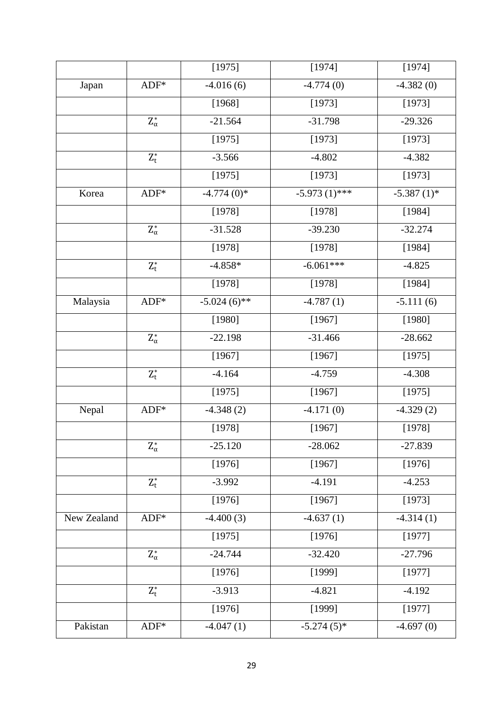|             |                           | [1975]         | [1974]          | [1974]        |
|-------------|---------------------------|----------------|-----------------|---------------|
| Japan       | $ADF*$                    | $-4.016(6)$    | $-4.774(0)$     | $-4.382(0)$   |
|             |                           | [1968]         | [1973]          | [1973]        |
|             | $\mathbf{Z}_\alpha^*$     | $-21.564$      | $-31.798$       | $-29.326$     |
|             |                           | [1975]         | [1973]          | [1973]        |
|             | $\mathbf{Z}_\mathsf{t}^*$ | $-3.566$       | $-4.802$        | $-4.382$      |
|             |                           | [1975]         | [1973]          | [1973]        |
| Korea       | $ADF*$                    | $-4.774(0)*$   | $-5.973(1)$ *** | $-5.387(1)$ * |
|             |                           | [1978]         | [1978]          | [1984]        |
|             | $\mathbf{Z}_\alpha^*$     | $-31.528$      | $-39.230$       | $-32.274$     |
|             |                           | [1978]         | [1978]          | [1984]        |
|             | $\mathbf{Z}_\mathsf{t}^*$ | $-4.858*$      | $-6.061***$     | $-4.825$      |
|             |                           | [1978]         | [1978]          | [1984]        |
| Malaysia    | $ADF*$                    | $-5.024(6)$ ** | $-4.787(1)$     | $-5.111(6)$   |
|             |                           | [1980]         | [1967]          | [1980]        |
|             | $\mathbf{Z}_\alpha^*$     | $-22.198$      | $-31.466$       | $-28.662$     |
|             |                           | [1967]         | [1967]          | [1975]        |
|             | $\mathbf{Z}_t^*$          | $-4.164$       | $-4.759$        | $-4.308$      |
|             |                           | [1975]         | [1967]          | [1975]        |
| Nepal       | $ADF*$                    | $-4.348(2)$    | $-4.171(0)$     | $-4.329(2)$   |
|             |                           | [1978]         | [1967]          | [1978]        |
|             | $\mathrm{Z}_\alpha^*$     | $-25.120$      | $-28.062$       | $-27.839$     |
|             |                           | [1976]         | [1967]          | [1976]        |
|             | $Z_t^*$                   | $-3.992$       | $-4.191$        | $-4.253$      |
|             |                           | [1976]         | [1967]          | [1973]        |
| New Zealand | $ADF*$                    | $-4.400(3)$    | $-4.637(1)$     | $-4.314(1)$   |
|             |                           | [1975]         | [1976]          | [1977]        |
|             | $\mathrm{Z}_\alpha^*$     | $-24.744$      | $-32.420$       | $-27.796$     |
|             |                           | [1976]         | [1999]          | [1977]        |
|             | $Z_t^*$                   | $-3.913$       | $-4.821$        | $-4.192$      |
|             |                           | [1976]         | [1999]          | [1977]        |
| Pakistan    | $ADF*$                    | $-4.047(1)$    | $-5.274(5)$ *   | $-4.697(0)$   |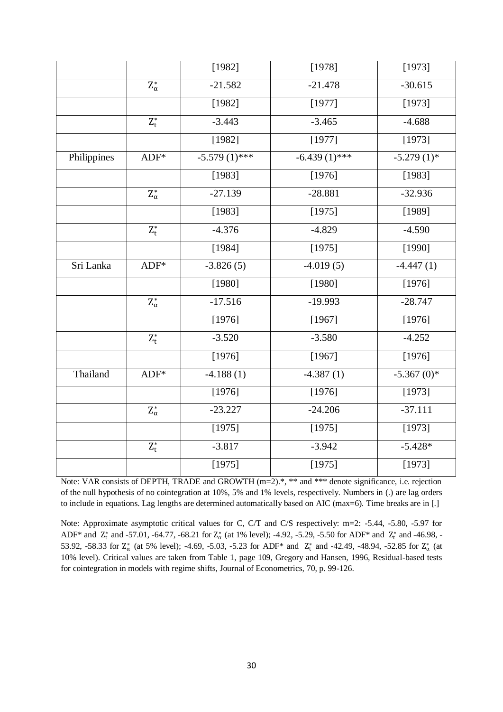|             |                       | [1982]          | [1978]          | [1973]        |
|-------------|-----------------------|-----------------|-----------------|---------------|
|             | $\mathbf{Z}_\alpha^*$ | $-21.582$       | $-21.478$       | $-30.615$     |
|             |                       | [1982]          | [1977]          | [1973]        |
|             | $Z_t^*$               | $-3.443$        | $-3.465$        | $-4.688$      |
|             |                       | [1982]          | [1977]          | [1973]        |
| Philippines | $ADF*$                | $-5.579(1)$ *** | $-6.439(1)$ *** | $-5.279(1)$ * |
|             |                       | [1983]          | [1976]          | [1983]        |
|             | $\mathbf{Z}_\alpha^*$ | $-27.139$       | $-28.881$       | $-32.936$     |
|             |                       | [1983]          | [1975]          | [1989]        |
|             | $\mathbf{Z}_t^*$      | $-4.376$        | $-4.829$        | $-4.590$      |
|             |                       | [1984]          | [1975]          | [1990]        |
| Sri Lanka   | $ADF*$                | $-3.826(5)$     | $-4.019(5)$     | $-4.447(1)$   |
|             |                       | [1980]          | [1980]          | [1976]        |
|             | $\mathbf{Z}_\alpha^*$ | $-17.516$       | $-19.993$       | $-28.747$     |
|             |                       | [1976]          | [1967]          | [1976]        |
|             | $\mathbf{Z}_t^*$      | $-3.520$        | $-3.580$        | $-4.252$      |
|             |                       | [1976]          | [1967]          | [1976]        |
| Thailand    | $ADF*$                | $-4.188(1)$     | $-4.387(1)$     | $-5.367(0)*$  |
|             |                       | [1976]          | [1976]          | [1973]        |
|             | $Z_\alpha^*$          | $-23.227$       | $-24.206$       | $-37.111$     |
|             |                       | [1975]          | [1975]          | [1973]        |
|             | $\mathbf{Z}_t^*$      | $-3.817$        | $-3.942$        | $-5.428*$     |
|             |                       | [1975]          | [1975]          | [1973]        |

Note: VAR consists of DEPTH, TRADE and GROWTH (m=2).\*, \*\* and \*\*\* denote significance, i.e. rejection of the null hypothesis of no cointegration at 10%, 5% and 1% levels, respectively. Numbers in (.) are lag orders to include in equations. Lag lengths are determined automatically based on AIC (max=6). Time breaks are in [.]

Note: Approximate asymptotic critical values for C, C/T and C/S respectively: m=2: -5.44, -5.80, -5.97 for ADF<sup>\*</sup> and  $Z_t^*$  and -57.01, -64.77, -68.21 for  $Z_\alpha^*$  (at 1% level); -4.92, -5.29, -5.50 for ADF<sup>\*</sup> and  $Z_t^*$  and -46.98, -53.92, -58.33 for  $Z^*_{\alpha}$  (at 5% level); -4.69, -5.03, -5.23 for ADF\* and  $Z^*_{t}$  and -42.49, -48.94, -52.85 for  $Z^*_{\alpha}$  (at 10% level). Critical values are taken from Table 1, page 109, Gregory and Hansen, 1996, Residual-based tests for cointegration in models with regime shifts, Journal of Econometrics, 70, p. 99-126.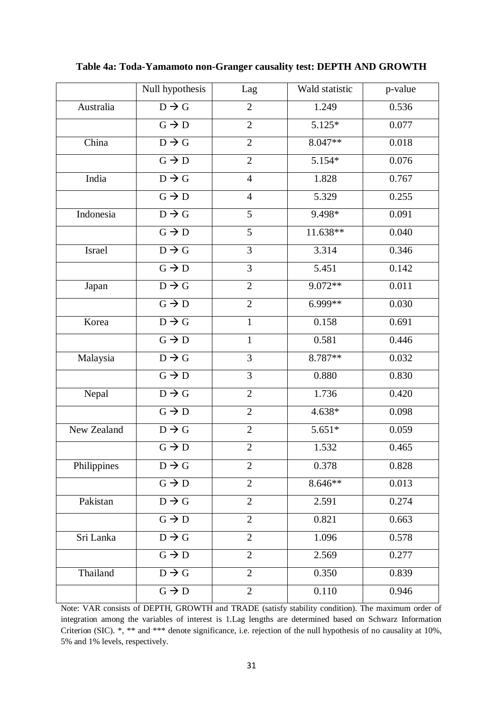|             | Null hypothesis   | Lag            | Wald statistic      | p-value |
|-------------|-------------------|----------------|---------------------|---------|
| Australia   | $D \rightarrow G$ | $\overline{2}$ | 1.249               | 0.536   |
|             | $G \rightarrow D$ | $\overline{2}$ | $5.125*$            | 0.077   |
| China       | $D \rightarrow G$ | $\overline{2}$ | $8.047**$           | 0.018   |
|             | $G \rightarrow D$ | $\overline{2}$ | 5.154*              | 0.076   |
| India       | $D \rightarrow G$ | $\overline{4}$ | 1.828               | 0.767   |
|             | $G \rightarrow D$ | $\overline{4}$ | 5.329               | 0.255   |
| Indonesia   | $D \rightarrow G$ | 5              | $9.\overline{498*}$ | 0.091   |
|             | $G \rightarrow D$ | 5              | 11.638**            | 0.040   |
| Israel      | $D \rightarrow G$ | 3              | 3.314               | 0.346   |
|             | $G \rightarrow D$ | $\overline{3}$ | 5.451               | 0.142   |
| Japan       | $D \rightarrow G$ | $\overline{2}$ | 9.072**             | 0.011   |
|             | $G \rightarrow D$ | $\overline{2}$ | 6.999**             | 0.030   |
| Korea       | $D \rightarrow G$ | $\mathbf{1}$   | 0.158               | 0.691   |
|             | $G \rightarrow D$ | $\mathbf{1}$   | 0.581               | 0.446   |
| Malaysia    | $D \rightarrow G$ | 3              | 8.787**             | 0.032   |
|             | $G \rightarrow D$ | $\overline{3}$ | 0.880               | 0.830   |
| Nepal       | $D \rightarrow G$ | $\overline{2}$ | 1.736               | 0.420   |
|             | $G \rightarrow D$ | $\overline{2}$ | 4.638*              | 0.098   |
| New Zealand | $D \rightarrow G$ | $\overline{2}$ | $5.651*$            | 0.059   |
|             | $G \rightarrow D$ | $\overline{2}$ | 1.532               | 0.465   |
| Philippines | $D \rightarrow G$ | $\overline{2}$ | 0.378               | 0.828   |
|             | $G \rightarrow D$ | $\overline{2}$ | 8.646**             | 0.013   |
| Pakistan    | $D \rightarrow G$ | $\overline{2}$ | 2.591               | 0.274   |
|             | $G \rightarrow D$ | $\overline{2}$ | 0.821               | 0.663   |
| Sri Lanka   | $D \rightarrow G$ | $\overline{2}$ | 1.096               | 0.578   |
|             | $G \rightarrow D$ | $\overline{2}$ | 2.569               | 0.277   |
| Thailand    | $D \rightarrow G$ | $\overline{2}$ | 0.350               | 0.839   |
|             | $G \rightarrow D$ | $\overline{2}$ | 0.110               | 0.946   |

**Table 4a: Toda-Yamamoto non-Granger causality test: DEPTH AND GROWTH**

Note: VAR consists of DEPTH, GROWTH and TRADE (satisfy stability condition). The maximum order of integration among the variables of interest is 1.Lag lengths are determined based on Schwarz Information Criterion (SIC). \*, \*\* and \*\*\* denote significance, i.e. rejection of the null hypothesis of no causality at 10%, 5% and 1% levels, respectively.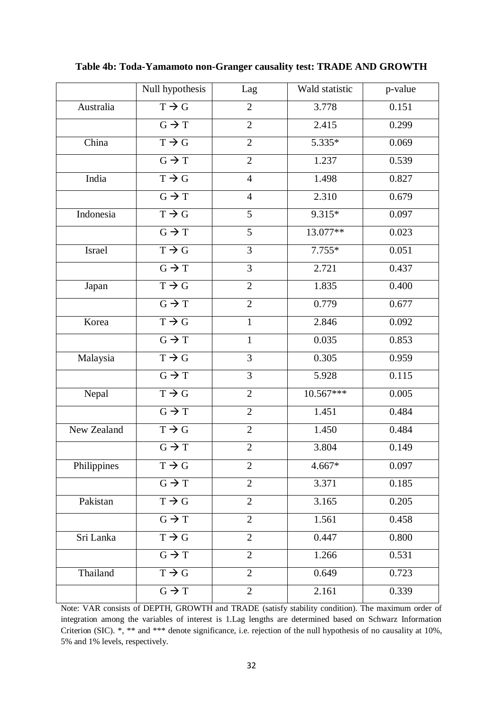|             | Null hypothesis   | Lag            | Wald statistic | p-value |
|-------------|-------------------|----------------|----------------|---------|
| Australia   | $T \rightarrow G$ | $\overline{2}$ | 3.778          | 0.151   |
|             | $G \rightarrow T$ | $\overline{2}$ | 2.415          | 0.299   |
| China       | $T \rightarrow G$ | $\overline{2}$ | $5.335*$       | 0.069   |
|             | $G \rightarrow T$ | $\overline{2}$ | 1.237          | 0.539   |
| India       | $T \rightarrow G$ | $\overline{4}$ | 1.498          | 0.827   |
|             | $G \rightarrow T$ | $\overline{4}$ | 2.310          | 0.679   |
| Indonesia   | $T \rightarrow G$ | 5              | $9.315*$       | 0.097   |
|             | $G \rightarrow T$ | 5              | 13.077**       | 0.023   |
| Israel      | $T \rightarrow G$ | 3              | $7.755*$       | 0.051   |
|             | $G \rightarrow T$ | $\overline{3}$ | 2.721          | 0.437   |
| Japan       | $T \rightarrow G$ | $\overline{2}$ | 1.835          | 0.400   |
|             | $G \rightarrow T$ | $\overline{2}$ | 0.779          | 0.677   |
| Korea       | $T \rightarrow G$ | $\mathbf{1}$   | 2.846          | 0.092   |
|             | $G \rightarrow T$ | $\mathbf{1}$   | 0.035          | 0.853   |
| Malaysia    | $T \rightarrow G$ | 3              | 0.305          | 0.959   |
|             | $G \rightarrow T$ | $\overline{3}$ | 5.928          | 0.115   |
| Nepal       | $T \rightarrow G$ | $\overline{2}$ | 10.567***      | 0.005   |
|             | $G \rightarrow T$ | $\overline{2}$ | 1.451          | 0.484   |
| New Zealand | $T \rightarrow G$ | $\overline{2}$ | 1.450          | 0.484   |
|             | $G \rightarrow T$ | $\overline{2}$ | 3.804          | 0.149   |
| Philippines | $T \rightarrow G$ | $\overline{2}$ | $4.667*$       | 0.097   |
|             | $G \rightarrow T$ | $\overline{2}$ | 3.371          | 0.185   |
| Pakistan    | $T \rightarrow G$ | $\overline{2}$ | 3.165          | 0.205   |
|             | $G \rightarrow T$ | $\overline{2}$ | 1.561          | 0.458   |
| Sri Lanka   | $T \rightarrow G$ | $\overline{2}$ | 0.447          | 0.800   |
|             | $G \rightarrow T$ | $\overline{2}$ | 1.266          | 0.531   |
| Thailand    | $T \rightarrow G$ | $\overline{2}$ | 0.649          | 0.723   |
|             | $G \rightarrow T$ | $\overline{2}$ | 2.161          | 0.339   |

**Table 4b: Toda-Yamamoto non-Granger causality test: TRADE AND GROWTH**

Note: VAR consists of DEPTH, GROWTH and TRADE (satisfy stability condition). The maximum order of integration among the variables of interest is 1.Lag lengths are determined based on Schwarz Information Criterion (SIC). \*, \*\* and \*\*\* denote significance, i.e. rejection of the null hypothesis of no causality at 10%, 5% and 1% levels, respectively.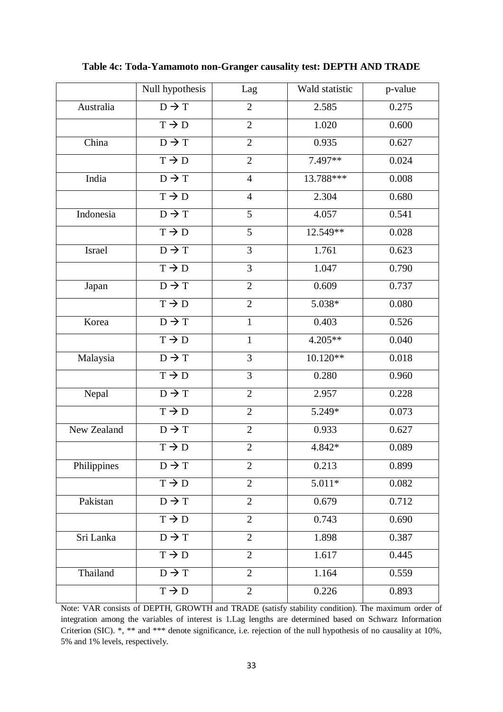|             | Null hypothesis              | Lag            | Wald statistic | p-value |
|-------------|------------------------------|----------------|----------------|---------|
| Australia   | $\overline{D \rightarrow T}$ | $\overline{2}$ | 2.585          | 0.275   |
|             | $T \rightarrow D$            | $\overline{2}$ | 1.020          | 0.600   |
| China       | $D \rightarrow T$            | $\overline{2}$ | 0.935          | 0.627   |
|             | $T \rightarrow D$            | $\overline{2}$ | 7.497**        | 0.024   |
| India       | $D \rightarrow T$            | $\overline{4}$ | 13.788***      | 0.008   |
|             | $T \rightarrow D$            | $\overline{4}$ | 2.304          | 0.680   |
| Indonesia   | $D \rightarrow T$            | 5              | 4.057          | 0.541   |
|             | $T \rightarrow D$            | 5              | 12.549**       | 0.028   |
| Israel      | $D \rightarrow T$            | 3              | 1.761          | 0.623   |
|             | $T \rightarrow D$            | 3              | 1.047          | 0.790   |
| Japan       | $D \rightarrow T$            | $\overline{2}$ | 0.609          | 0.737   |
|             | $T \rightarrow D$            | $\overline{2}$ | 5.038*         | 0.080   |
| Korea       | $D \rightarrow T$            | $\mathbf{1}$   | 0.403          | 0.526   |
|             | $T \rightarrow D$            | 1              | $4.205**$      | 0.040   |
| Malaysia    | $D \rightarrow T$            | 3              | $10.120**$     | 0.018   |
|             | $T \rightarrow D$            | 3              | 0.280          | 0.960   |
| Nepal       | $D \rightarrow T$            | $\overline{2}$ | 2.957          | 0.228   |
|             | $T \rightarrow D$            | $\overline{2}$ | 5.249*         | 0.073   |
| New Zealand | $D \rightarrow T$            | $\overline{2}$ | 0.933          | 0.627   |
|             | $T \rightarrow D$            | $\overline{2}$ | 4.842*         | 0.089   |
| Philippines | $D \rightarrow T$            | 2              | 0.213          | 0.899   |
|             | $T \rightarrow D$            | $\overline{2}$ | $5.011*$       | 0.082   |
| Pakistan    | $D \rightarrow T$            | $\overline{2}$ | 0.679          | 0.712   |
|             | $T \rightarrow D$            | $\overline{2}$ | 0.743          | 0.690   |
| Sri Lanka   | $D \rightarrow T$            | $\overline{2}$ | 1.898          | 0.387   |
|             | $T \rightarrow D$            | $\overline{2}$ | 1.617          | 0.445   |
| Thailand    | $D \rightarrow T$            | $\overline{2}$ | 1.164          | 0.559   |
|             | $T \rightarrow D$            | $\overline{2}$ | 0.226          | 0.893   |

**Table 4c: Toda-Yamamoto non-Granger causality test: DEPTH AND TRADE**

Note: VAR consists of DEPTH, GROWTH and TRADE (satisfy stability condition). The maximum order of integration among the variables of interest is 1.Lag lengths are determined based on Schwarz Information Criterion (SIC). \*, \*\* and \*\*\* denote significance, i.e. rejection of the null hypothesis of no causality at 10%, 5% and 1% levels, respectively.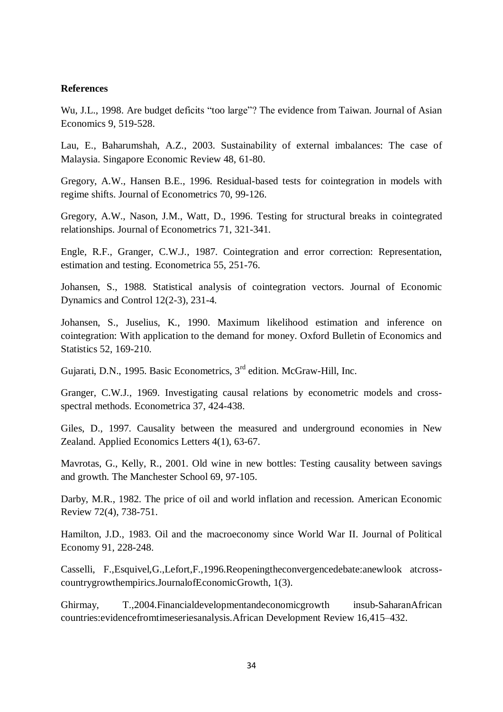#### **References**

Wu, J.L., 1998. Are budget deficits "too large"? The evidence from Taiwan. Journal of Asian Economics 9, 519-528.

Lau, E., Baharumshah, A.Z., 2003. Sustainability of external imbalances: The case of Malaysia. Singapore Economic Review 48, 61-80.

Gregory, A.W., Hansen B.E., 1996. Residual-based tests for cointegration in models with regime shifts. Journal of Econometrics 70, 99-126.

Gregory, A.W., Nason, J.M., Watt, D., 1996. Testing for structural breaks in cointegrated relationships. Journal of Econometrics 71, 321-341.

Engle, R.F., Granger, C.W.J., 1987. Cointegration and error correction: Representation, estimation and testing. Econometrica 55, 251-76.

Johansen, S., 1988. Statistical analysis of cointegration vectors. Journal of Economic Dynamics and Control 12(2-3), 231-4.

Johansen, S., Juselius, K., 1990. Maximum likelihood estimation and inference on cointegration: With application to the demand for money. Oxford Bulletin of Economics and Statistics 52, 169-210.

Gujarati, D.N., 1995. Basic Econometrics, 3<sup>rd</sup> edition. McGraw-Hill, Inc.

Granger, C.W.J., 1969. Investigating causal relations by econometric models and crossspectral methods. Econometrica 37, 424-438.

Giles, D., 1997. Causality between the measured and underground economies in New Zealand. Applied Economics Letters 4(1), 63-67.

Mavrotas, G., Kelly, R., 2001. Old wine in new bottles: Testing causality between savings and growth. The Manchester School 69, 97-105.

Darby, M.R., 1982. The price of oil and world inflation and recession. American Economic Review 72(4), 738-751.

Hamilton, J.D., 1983. Oil and the macroeconomy since World War II. Journal of Political Economy 91, 228-248.

Casselli, F.,Esquivel,G.,Lefort,F.,1996.Reopeningtheconvergencedebate:anewlook atcrosscountrygrowthempirics.JournalofEconomicGrowth, 1(3).

Ghirmay, T.,2004.Financialdevelopmentandeconomicgrowth insub-SaharanAfrican countries:evidencefromtimeseriesanalysis.African Development Review 16,415–432.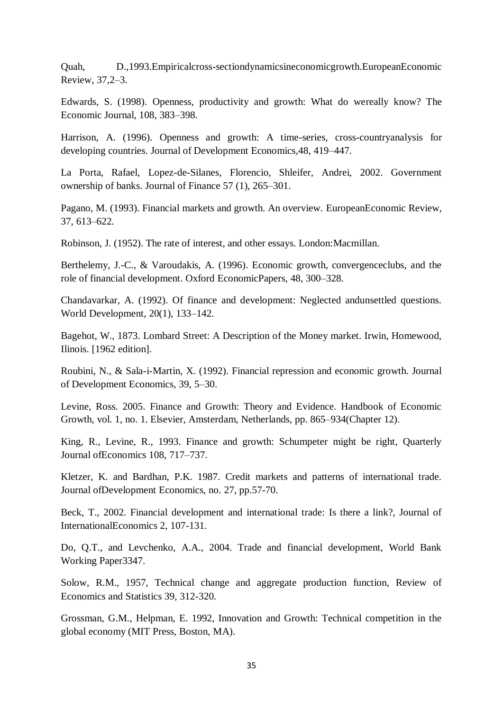Quah, D.,1993.Empiricalcross-sectiondynamicsineconomicgrowth.EuropeanEconomic Review, 37,2–3.

Edwards, S. (1998). Openness, productivity and growth: What do wereally know? The Economic Journal, 108, 383–398.

Harrison, A. (1996). Openness and growth: A time-series, cross-countryanalysis for developing countries. Journal of Development Economics,48, 419–447.

La Porta, Rafael, Lopez-de-Silanes, Florencio, Shleifer, Andrei, 2002. Government ownership of banks. Journal of Finance 57 (1), 265–301.

Pagano, M. (1993). Financial markets and growth. An overview. EuropeanEconomic Review, 37, 613–622.

Robinson, J. (1952). The rate of interest, and other essays. London:Macmillan.

Berthelemy, J.-C., & Varoudakis, A. (1996). Economic growth, convergenceclubs, and the role of financial development. Oxford EconomicPapers, 48, 300–328.

Chandavarkar, A. (1992). Of finance and development: Neglected andunsettled questions. World Development, 20(1), 133–142.

Bagehot, W., 1873. Lombard Street: A Description of the Money market. Irwin, Homewood, Ilinois. [1962 edition].

Roubini, N., & Sala-i-Martin, X. (1992). Financial repression and economic growth. Journal of Development Economics, 39, 5–30.

Levine, Ross. 2005. Finance and Growth: Theory and Evidence. Handbook of Economic Growth, vol. 1, no. 1. Elsevier, Amsterdam, Netherlands, pp. 865–934(Chapter 12).

King, R., Levine, R., 1993. Finance and growth: Schumpeter might be right, Quarterly Journal ofEconomics 108, 717–737.

Kletzer, K. and Bardhan, P.K. 1987. Credit markets and patterns of international trade. Journal ofDevelopment Economics, no. 27, pp.57-70.

Beck, T., 2002. Financial development and international trade: Is there a link?, Journal of InternationalEconomics 2, 107-131.

Do, Q.T., and Levchenko, A.A., 2004. Trade and financial development, World Bank Working Paper3347.

Solow, R.M., 1957, Technical change and aggregate production function, Review of Economics and Statistics 39, 312-320.

Grossman, G.M., Helpman, E. 1992, Innovation and Growth: Technical competition in the global economy (MIT Press, Boston, MA).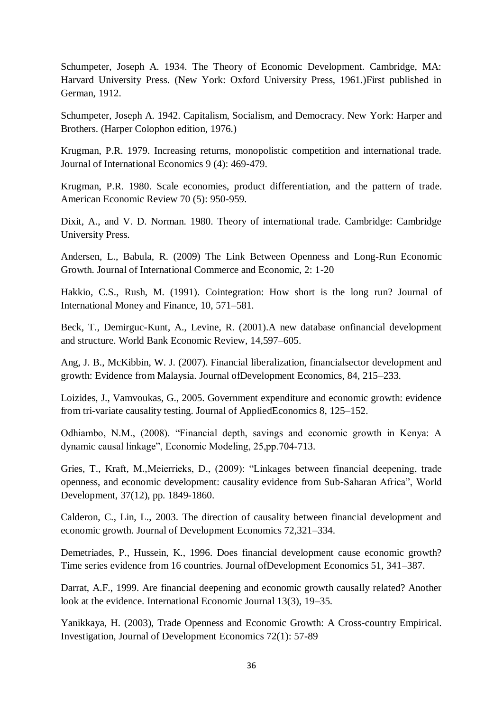Schumpeter, Joseph A. 1934. The Theory of Economic Development. Cambridge, MA: Harvard University Press. (New York: Oxford University Press, 1961.)First published in German, 1912.

Schumpeter, Joseph A. 1942. Capitalism, Socialism, and Democracy. New York: Harper and Brothers. (Harper Colophon edition, 1976.)

Krugman, P.R. 1979. Increasing returns, monopolistic competition and international trade. Journal of International Economics 9 (4): 469-479.

Krugman, P.R. 1980. Scale economies, product differentiation, and the pattern of trade. American Economic Review 70 (5): 950-959.

Dixit, A., and V. D. Norman. 1980. Theory of international trade. Cambridge: Cambridge University Press.

Andersen, L., Babula, R. (2009) The Link Between Openness and Long-Run Economic Growth. Journal of International Commerce and Economic, 2: 1-20

Hakkio, C.S., Rush, M. (1991). Cointegration: How short is the long run? Journal of International Money and Finance, 10, 571–581.

Beck, T., Demirguc-Kunt, A., Levine, R. (2001).A new database onfinancial development and structure. World Bank Economic Review, 14,597–605.

Ang, J. B., McKibbin, W. J. (2007). Financial liberalization, financialsector development and growth: Evidence from Malaysia. Journal ofDevelopment Economics, 84, 215–233.

Loizides, J., Vamvoukas, G., 2005. Government expenditure and economic growth: evidence from tri-variate causality testing. Journal of AppliedEconomics 8, 125–152.

Odhiambo, N.M., (2008). "Financial depth, savings and economic growth in Kenya: A dynamic causal linkage", Economic Modeling, 25,pp.704-713.

Gries, T., Kraft, M.,Meierrieks, D., (2009): "Linkages between financial deepening, trade openness, and economic development: causality evidence from Sub-Saharan Africa", World Development, 37(12), pp. 1849-1860.

Calderon, C., Lin, L., 2003. The direction of causality between financial development and economic growth. Journal of Development Economics 72,321–334.

Demetriades, P., Hussein, K., 1996. Does financial development cause economic growth? Time series evidence from 16 countries. Journal ofDevelopment Economics 51, 341–387.

Darrat, A.F., 1999. Are financial deepening and economic growth causally related? Another look at the evidence. International Economic Journal 13(3), 19–35.

Yanikkaya, H. (2003), Trade Openness and Economic Growth: A Cross-country Empirical. Investigation, Journal of Development Economics 72(1): 57-89